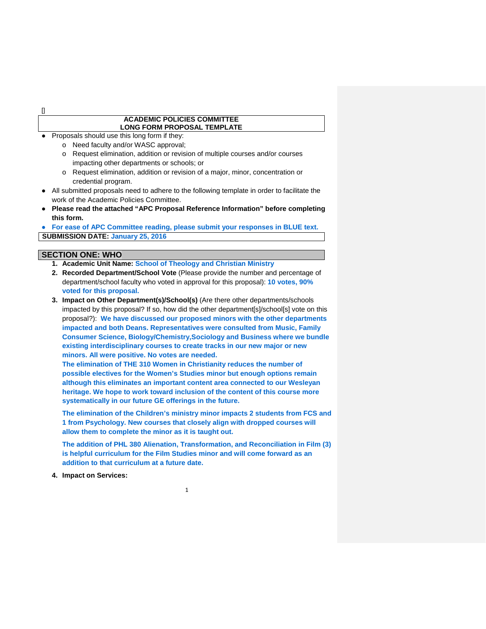### **ACADEMIC POLICIES COMMITTEE LONG FORM PROPOSAL TEMPLATE**

● Proposals should use this long form if they:

- o Need faculty and/or WASC approval;
- o Request elimination, addition or revision of multiple courses and/or courses impacting other departments or schools; or
- o Request elimination, addition or revision of a major, minor, concentration or credential program.
- All submitted proposals need to adhere to the following template in order to facilitate the work of the Academic Policies Committee.
- Please read the attached "APC Proposal Reference Information" before completing **this form.**

For ease of APC Committee reading, please submit your responses in BLUE text. **SUBMISSION DATE: January 25, 2016**

## **SECTION ONE: WHO**

 $\mathsf{I}$ 

- **1. Academic Unit Name: School of Theology and Christian Ministry**
- **2. Recorded Department/School Vote** (Please provide the number and percentage of department/school faculty who voted in approval for this proposal): **10 votes, 90% voted for this proposal.**
- **3. Impact on Other Department(s)/School(s)** (Are there other departments/schools impacted by this proposal? If so, how did the other department[s]/school[s] vote on this proposal?): **We have discussed our proposed minors with the other departments impacted and both Deans. Representatives were consulted from Music, Family Consumer Science, Biology/Chemistry,Sociology and Business where we bundle existing interdisciplinary courses to create tracks in our new major or new minors. All were positive. No votes are needed.**

**The elimination of THE 310 Women in Christianity reduces the number of possible electives for the Women's Studies minor but enough options remain although this eliminates an important content area connected to our Wesleyan heritage. We hope to work toward inclusion of the content of this course more systematically in our future GE offerings in the future.** 

**The elimination of the Children's ministry minor impacts 2 students from FCS and 1 from Psychology. New courses that closely align with dropped courses will allow them to complete the minor as it is taught out.** 

**The addition of PHL 380 Alienation, Transformation, and Reconciliation in Film (3) is helpful curriculum for the Film Studies minor and will come forward as an addition to that curriculum at a future date.** 

## **4. Impact on Services:**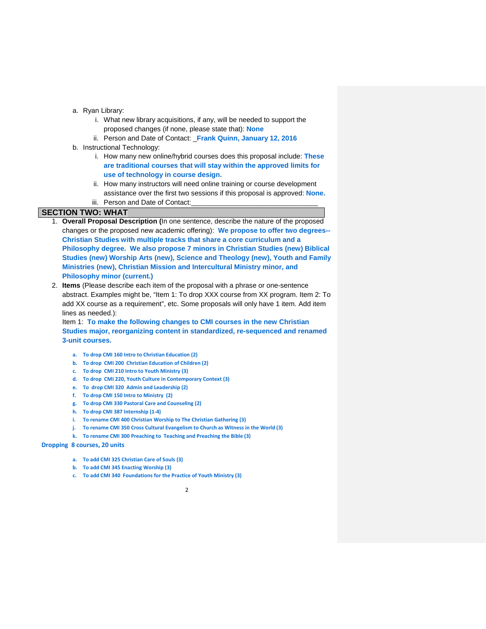- a. Ryan Library:
	- i. What new library acquisitions, if any, will be needed to support the proposed changes (if none, please state that): **None**
	- ii. Person and Date of Contact: \_**Frank Quinn, January 12, 2016**
- b. Instructional Technology:
	- i. How many new online/hybrid courses does this proposal include: **These are traditional courses that will stay within the approved limits for use of technology in course design.**
	- ii. How many instructors will need online training or course development assistance over the first two sessions if this proposal is approved: **None.**
	- iii. Person and Date of Contact:

## **SECTION TWO: WHAT**

- 1. **Overall Proposal Description (**In one sentence, describe the nature of the proposed changes or the proposed new academic offering): **We propose to offer two degrees-- Christian Studies with multiple tracks that share a core curriculum and a Philosophy degree. We also propose 7 minors in Christian Studies (new) Biblical Studies (new) Worship Arts (new), Science and Theology (new), Youth and Family Ministries (new), Christian Mission and Intercultural Ministry minor, and Philosophy minor (current.)**
- 2. **Items** (Please describe each item of the proposal with a phrase or one-sentence abstract. Examples might be, "Item 1: To drop XXX course from XX program. Item 2: To add XX course as a requirement", etc. Some proposals will only have 1 item. Add item lines as needed.):

Item 1: **To make the following changes to CMI courses in the new Christian Studies major, reorganizing content in standardized, re-sequenced and renamed 3-unit courses.**

- **a. To drop CMI 160 Intro to Christian Education (2)**
- **b. To drop CMI 200 Christian Education of Children (2)**
- **c. To drop CMI 210 Intro to Youth Ministry (3)**
- **d. To drop CMI 220, Youth Culture in Contemporary Context (3)**
- **e. To drop CMI 320 Admin and Leadership (2)**
- **f. To drop CMI 150 Intro to Ministry (2)**
- **g. To drop CMI 330 Pastoral Care and Counseling (2)**
- **h. To drop CMI 387 Internship (1-4)**
- **i. To rename CMI 400 Christian Worship to The Christian Gathering (3)**
- **j. To rename CMI 350 Cross Cultural Evangelism to Church as Witness in the World (3)**
- **k. To rename CMI 300 Preaching to Teaching and Preaching the Bible (3)**

## **Dropping 8 courses, 20 units**

- **a. To add CMI 325 Christian Care of Souls (3)**
- **b. To add CMI 345 Enacting Worship (3)**
- **c. To add CMI 340 Foundations for the Practice of Youth Ministry (3)**

 $\mathcal{L}$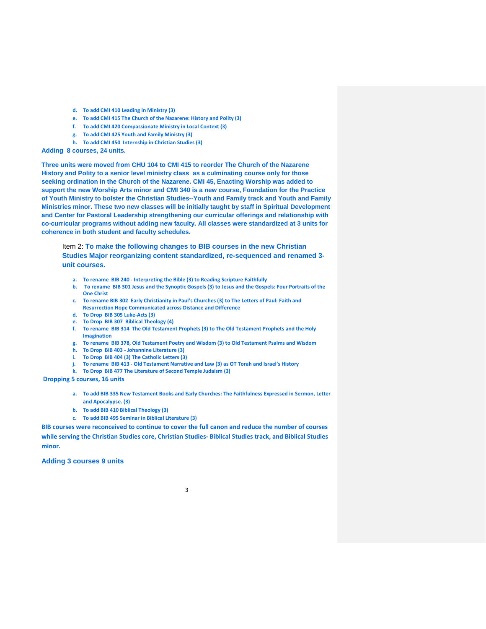- **d. To add CMI 410 Leading in Ministry (3)**
- **e. To add CMI 415 The Church of the Nazarene: History and Polity (3)**
- **f. To add CMI 420 Compassionate Ministry in Local Context (3)**
- **g. To add CMI 425 Youth and Family Ministry (3)**
- **h. To add CMI 450 Internship in Christian Studies (3)**

#### **Adding 8 courses, 24 units.**

**Three units were moved from CHU 104 to CMI 415 to reorder The Church of the Nazarene History and Polity to a senior level ministry class as a culminating course only for those seeking ordination in the Church of the Nazarene. CMI 45, Enacting Worship was added to support the new Worship Arts minor and CMI 340 is a new course, Foundation for the Practice of Youth Ministry to bolster the Christian Studies--Youth and Family track and Youth and Family Ministries minor. These two new classes will be initially taught by staff in Spiritual Development and Center for Pastoral Leadership strengthening our curricular offerings and relationship with co-curricular programs without adding new faculty. All classes were standardized at 3 units for coherence in both student and faculty schedules.** 

Item 2: **To make the following changes to BIB courses in the new Christian Studies Major reorganizing content standardized, re-sequenced and renamed 3 unit courses.**

- **a. To rename BIB 240 - [Interpreting the Bible \(3\)](http://catalog.pointloma.edu/preview_entity.php?catoid=18&ent_oid=1580&returnto=1284) to Reading Scripture Faithfully**
- **b. [To rename BIB 301 Jesus and the Synoptic Gospels \(3\)](http://catalog.pointloma.edu/preview_entity.php?catoid=18&ent_oid=1580&returnto=1284) to Jesus and the Gospels: Four Portraits of the One Christ**
- **c. To renam[e BIB 302 Early Christianity in Paul's Churches \(3\)](http://catalog.pointloma.edu/preview_entity.php?catoid=18&ent_oid=1580&returnto=1284) to The Letters of Paul: Faith and Resurrection Hope Communicated across Distance and Difference**
- **d. To Drop [BIB 305 Luke-Acts \(3\)](http://catalog.pointloma.edu/preview_entity.php?catoid=18&ent_oid=1580&returnto=1284)**
- **e. To Drop [BIB 307 Biblical Theology \(4\)](http://catalog.pointloma.edu/preview_entity.php?catoid=18&ent_oid=1580&returnto=1284)**
- **f. To renam[e BIB 314 The Old Testament Prophets \(3\)](http://catalog.pointloma.edu/preview_entity.php?catoid=18&ent_oid=1580&returnto=1284) to The Old Testament Prophets and the Holy Imagination**
- **g. To renam[e BIB 378, Old Testament Poetry and Wisdom \(3\)](http://catalog.pointloma.edu/preview_entity.php?catoid=18&ent_oid=1580&returnto=1284) to Old Testament Psalms and Wisdom**
- **h. To Drop BIB 403 - [Johannine Literature \(3\)](http://catalog.pointloma.edu/preview_entity.php?catoid=18&ent_oid=1580&returnto=1284)**
- **i. To Drop BIB 404 (3) [The Catholic Letters \(3\)](http://catalog.pointloma.edu/preview_entity.php?catoid=18&ent_oid=1580&returnto=1284)**
- **j. To rename BIB 413 - [Old Testament Narrative and Law \(3\)](http://catalog.pointloma.edu/preview_entity.php?catoid=18&ent_oid=1580&returnto=1284) as OT Torah and Israel's History k. To rename BIB 413 - Old Testament Narrative and Law (3) as 6<br><b>k. To Drop [BIB 477 The Literature of Second Temple Judaism \(3\)](http://catalog.pointloma.edu/preview_entity.php?catoid=18&ent_oid=1580&returnto=1284)**
- 

**[Dropping 5 courses, 16 units](http://catalog.pointloma.edu/preview_entity.php?catoid=18&ent_oid=1580&returnto=1284)**

- **a. To add BIB 335 New Testament Books and Early Churches: The Faithfulness Expressed in Sermon, Letter and Apocalypse. (3)**
- **b. To add BIB 410 Biblical Theology (3)**
- **c. To add BIB 495 Seminar in Biblical Literature (3)**

**BIB courses were reconceived to continue to cover the full canon and reduce the number of courses while serving the Christian Studies core, Christian Studies- Biblical Studies track, and Biblical Studies minor.**

**Adding 3 courses 9 units** 

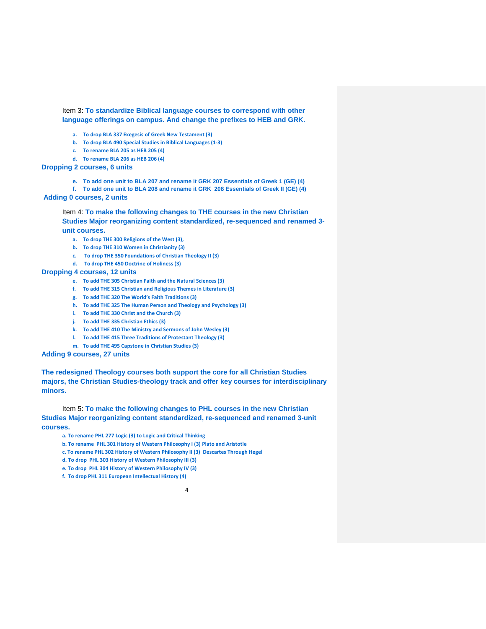Item 3: **To standardize Biblical language courses to correspond with other language offerings on campus. And change the prefixes to HEB and GRK.** 

- **a. To drop BLA 337 Exegesis of Greek New Testament (3)**
- **b. To drop BLA 490 Special Studies in Biblical Languages (1-3)**
- **c. To rename BLA 205 as HEB 205 (4)**
- **d. To rename BLA 206 as HEB 206 (4)**

**Dropping 2 courses, 6 units** 

**e. To add one unit to BLA 207 and rename it GRK 207 Essentials of Greek 1 (GE) (4)**

**f. To add one unit to BLA 208 and rename it GRK 208 Essentials of Greek II (GE) (4) Adding 0 courses, 2 units** 

Item 4: **To make the following changes to THE courses in the new Christian Studies Major reorganizing content standardized, re-sequenced and renamed 3 unit courses.**

- **a. To drop THE 300 Religions of the West (3),**
- **b. To drop THE 310 Women in Christianity (3)**
- **c. To drop THE 350 Foundations of Christian Theology II (3)**
- **d. To drop THE 450 Doctrine of Holiness (3)**

## **Dropping 4 courses, 12 units**

- **e. To add THE 305 Christian Faith and the Natural Sciences (3)**
- **f. To add THE 315 Christian and Religious Themes in Literature (3)**
- **g. To add THE 320 The World's Faith Traditions (3)**
- **h. To add THE 325 The Human Person and Theology and Psychology (3)**
- **i. To add THE 330 Christ and the Church (3)**
- **j. To add THE 335 Christian Ethics (3)**
- **k. To add THE 410 The Ministry and Sermons of John Wesley (3)**
- **l. To add THE 415 Three Traditions of Protestant Theology (3)**
- **m. To add THE 495 Capstone in Christian Studies (3)**

## **Adding 9 courses, 27 units**

**The redesigned Theology courses both support the core for all Christian Studies majors, the Christian Studies-theology track and offer key courses for interdisciplinary minors.**

Item 5: **To make the following changes to PHL courses in the new Christian Studies Major reorganizing content standardized, re-sequenced and renamed 3-unit courses.**

- **a. To rename PHL 277 Logic (3) to Logic and Critical Thinking**
- **b. To rename PHL 301 History of Western Philosophy I (3) Plato and Aristotle**
- **c. To rename PHL 302 History of Western Philosophy II (3) Descartes Through Hegel**
- **d. To drop PHL 303 History of Western Philosophy III (3)**
- **e. To drop PHL 304 History of Western Philosophy IV (3)**
- **f. To drop PHL 311 European Intellectual History (4)**

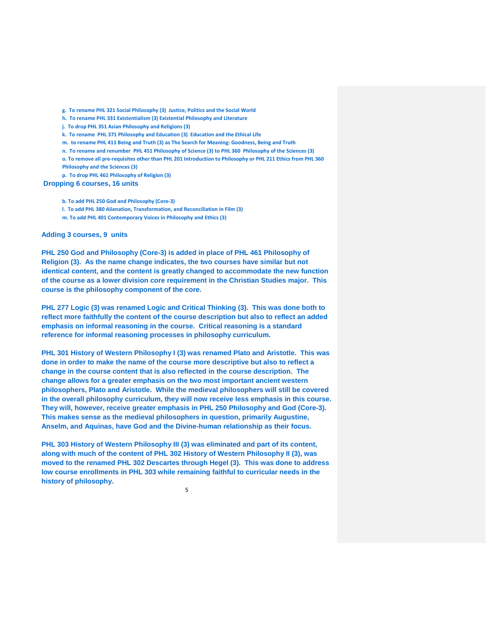**g. To rename PHL 321 Social Philosophy (3) Justice, Politics and the Social World**

- **h. To rename PHL 331 Existentialism (3) Existential Philosophy and Literature**
- **j. To drop PHL 351 Asian Philosophy and Religions (3)**
- **k. To rename PHL 371 Philosophy and Education (3) Education and the Ethical Life**
- **m. to rename PHL 411 Being and Truth (3) as The Search for Meaning: Goodness, Being and Truth**
- **n. To rename and renumber PHL 451 Philosophy of Science (3) to PHL 360 Philosophy of the Sciences (3)**
- **o. To remove all pre-requisites other than PHL 201 Introduction to Philosophy or PHL 211 Ethics from PHL 360 Philosophy and the Sciences (3)**
- **p. To drop PHL 461 Philosophy of Religion (3)**

**Dropping 6 courses, 16 units**

- **b. To add PHL 250 God and Philosophy (Core-3)**
- **l. To add PHL 380 Alienation, Transformation, and Reconciliation in Film (3)**
- **m. To add PHL 401 Contemporary Voices in Philosophy and Ethics (3)**

**Adding 3 courses, 9 units** 

**PHL 250 God and Philosophy (Core-3) is added in place of PHL 461 Philosophy of Religion (3). As the name change indicates, the two courses have similar but not identical content, and the content is greatly changed to accommodate the new function of the course as a lower division core requirement in the Christian Studies major. This course is the philosophy component of the core.**

**PHL 277 Logic (3) was renamed Logic and Critical Thinking (3). This was done both to reflect more faithfully the content of the course description but also to reflect an added emphasis on informal reasoning in the course. Critical reasoning is a standard reference for informal reasoning processes in philosophy curriculum.**

**PHL 301 History of Western Philosophy I (3) was renamed Plato and Aristotle. This was done in order to make the name of the course more descriptive but also to reflect a change in the course content that is also reflected in the course description. The change allows for a greater emphasis on the two most important ancient western philosophers, Plato and Aristotle. While the medieval philosophers will still be covered in the overall philosophy curriculum, they will now receive less emphasis in this course. They will, however, receive greater emphasis in PHL 250 Philosophy and God (Core-3). This makes sense as the medieval philosophers in question, primarily Augustine, Anselm, and Aquinas, have God and the Divine-human relationship as their focus.**

**PHL 303 History of Western Philosophy III (3) was eliminated and part of its content, along with much of the content of PHL 302 History of Western Philosophy II (3), was moved to the renamed PHL 302 Descartes through Hegel (3). This was done to address low course enrollments in PHL 303 while remaining faithful to curricular needs in the history of philosophy.**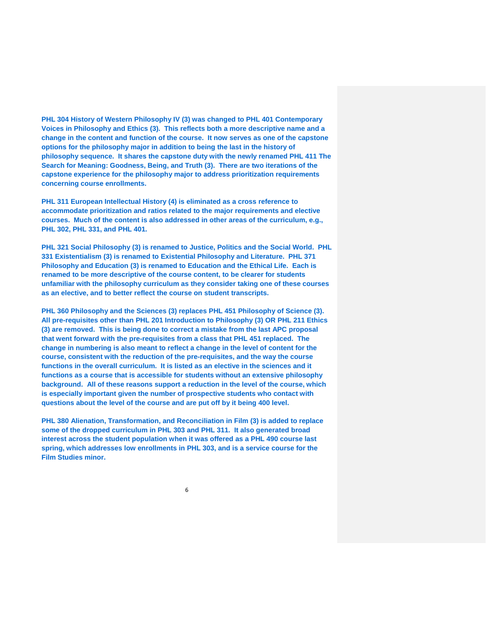**PHL 304 History of Western Philosophy IV (3) was changed to PHL 401 Contemporary Voices in Philosophy and Ethics (3). This reflects both a more descriptive name and a change in the content and function of the course. It now serves as one of the capstone options for the philosophy major in addition to being the last in the history of philosophy sequence. It shares the capstone duty with the newly renamed PHL 411 The Search for Meaning: Goodness, Being, and Truth (3). There are two iterations of the capstone experience for the philosophy major to address prioritization requirements concerning course enrollments.**

**PHL 311 European Intellectual History (4) is eliminated as a cross reference to accommodate prioritization and ratios related to the major requirements and elective courses. Much of the content is also addressed in other areas of the curriculum, e.g., PHL 302, PHL 331, and PHL 401.**

**PHL 321 Social Philosophy (3) is renamed to Justice, Politics and the Social World. PHL 331 Existentialism (3) is renamed to Existential Philosophy and Literature. PHL 371 Philosophy and Education (3) is renamed to Education and the Ethical Life. Each is renamed to be more descriptive of the course content, to be clearer for students unfamiliar with the philosophy curriculum as they consider taking one of these courses as an elective, and to better reflect the course on student transcripts.** 

**PHL 360 Philosophy and the Sciences (3) replaces PHL 451 Philosophy of Science (3). All pre-requisites other than PHL 201 Introduction to Philosophy (3) OR PHL 211 Ethics (3) are removed. This is being done to correct a mistake from the last APC proposal that went forward with the pre-requisites from a class that PHL 451 replaced. The change in numbering is also meant to reflect a change in the level of content for the course, consistent with the reduction of the pre-requisites, and the way the course functions in the overall curriculum. It is listed as an elective in the sciences and it functions as a course that is accessible for students without an extensive philosophy background. All of these reasons support a reduction in the level of the course, which is especially important given the number of prospective students who contact with questions about the level of the course and are put off by it being 400 level.**

**PHL 380 Alienation, Transformation, and Reconciliation in Film (3) is added to replace some of the dropped curriculum in PHL 303 and PHL 311. It also generated broad interest across the student population when it was offered as a PHL 490 course last spring, which addresses low enrollments in PHL 303, and is a service course for the Film Studies minor.**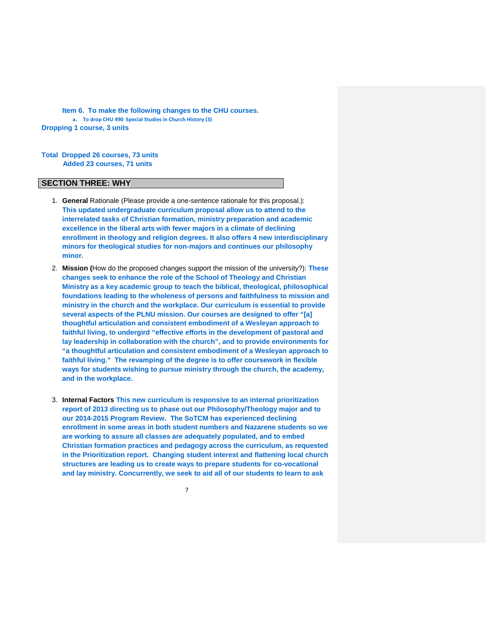**Item 6. To make the following changes to the CHU courses. a. To drop CHU 490 Special Studies in Church History (3) Dropping 1 course, 3 units** 

**Total Dropped 26 courses, 73 units Added 23 courses, 71 units** 

## **SECTION THREE: WHY**

- 1. **General** Rationale (Please provide a one-sentence rationale for this proposal.): **This updated undergraduate curriculum proposal allow us to attend to the interrelated tasks of Christian formation, ministry preparation and academic excellence in the liberal arts with fewer majors in a climate of declining enrollment in theology and religion degrees. It also offers 4 new interdisciplinary minors for theological studies for non-majors and continues our philosophy minor.**
- 2. **Mission (**How do the proposed changes support the mission of the university?): **These changes seek to enhance the role of the School of Theology and Christian Ministry as a key academic group to teach the biblical, theological, philosophical foundations leading to the wholeness of persons and faithfulness to mission and ministry in the church and the workplace. Our curriculum is essential to provide several aspects of the PLNU mission. Our courses are designed to offer "[a] thoughtful articulation and consistent embodiment of a Wesleyan approach to faithful living, to undergird "effective efforts in the development of pastoral and lay leadership in collaboration with the church", and to provide environments for "a thoughtful articulation and consistent embodiment of a Wesleyan approach to faithful living." The revamping of the degree is to offer coursework in flexible ways for students wishing to pursue ministry through the church, the academy, and in the workplace.**
- 3. **Internal Factors This new curriculum is responsive to an internal prioritization report of 2013 directing us to phase out our Philosophy/Theology major and to our 2014-2015 Program Review. The SoTCM has experienced declining enrollment in some areas in both student numbers and Nazarene students so we are working to assure all classes are adequately populated, and to embed Christian formation practices and pedagogy across the curriculum, as requested in the Prioritization report. Changing student interest and flattening local church structures are leading us to create ways to prepare students for co-vocational and lay ministry. Concurrently, we seek to aid all of our students to learn to ask**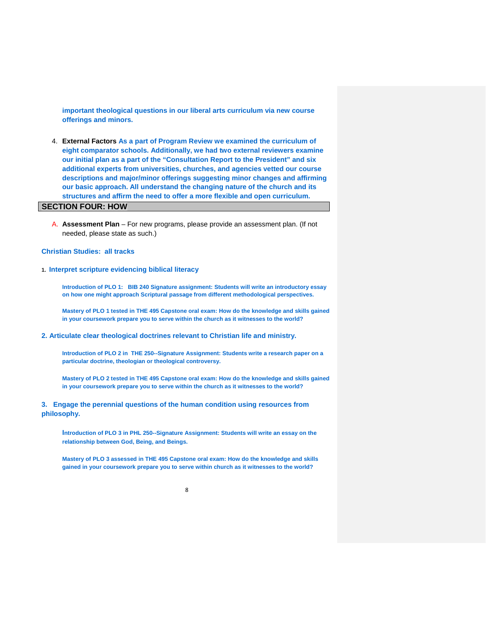**important theological questions in our liberal arts curriculum via new course offerings and minors.** 

4. **External Factors As a part of Program Review we examined the curriculum of eight comparator schools. Additionally, we had two external reviewers examine our initial plan as a part of the "Consultation Report to the President" and six additional experts from universities, churches, and agencies vetted our course descriptions and major/minor offerings suggesting minor changes and affirming our basic approach. All understand the changing nature of the church and its structures and affirm the need to offer a more flexible and open curriculum.** 

## **SECTION FOUR: HOW**

A. **Assessment Plan** – For new programs, please provide an assessment plan. (If not needed, please state as such.)

### **Christian Studies: all tracks**

#### **1. Interpret scripture evidencing biblical literacy**

**Introduction of PLO 1: BIB 240 Signature assignment: Students will write an introductory essay on how one might approach Scriptural passage from different methodological perspectives.** 

**Mastery of PLO 1 tested in THE 495 Capstone oral exam: How do the knowledge and skills gained in your coursework prepare you to serve within the church as it witnesses to the world?** 

### **2. Articulate clear theological doctrines relevant to Christian life and ministry.**

**Introduction of PLO 2 in THE 250--Signature Assignment: Students write a research paper on a particular doctrine, theologian or theological controversy.**

**Mastery of PLO 2 tested in THE 495 Capstone oral exam: How do the knowledge and skills gained in your coursework prepare you to serve within the church as it witnesses to the world?** 

**3. Engage the perennial questions of the human condition using resources from philosophy.**

**Introduction of PLO 3 in PHL 250--Signature Assignment: Students will write an essay on the relationship between God, Being, and Beings.** 

**Mastery of PLO 3 assessed in THE 495 Capstone oral exam: How do the knowledge and skills gained in your coursework prepare you to serve within church as it witnesses to the world?**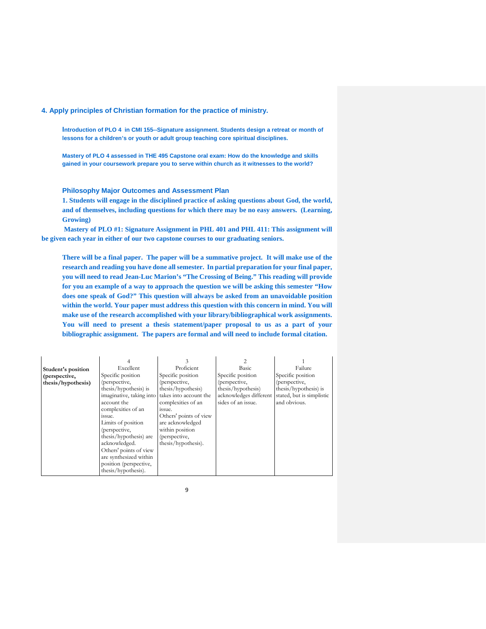### **4. Apply principles of Christian formation for the practice of ministry.**

**Introduction of PLO 4 in CMI 155--Signature assignment. Students design a retreat or month of lessons for a children's or youth or adult group teaching core spiritual disciplines.**

**Mastery of PLO 4 assessed in THE 495 Capstone oral exam: How do the knowledge and skills gained in your coursework prepare you to serve within church as it witnesses to the world?**

#### **Philosophy Major Outcomes and Assessment Plan**

**1. Students will engage in the disciplined practice of asking questions about God, the world, and of themselves, including questions for which there may be no easy answers. (Learning, Growing)** 

**Mastery of PLO #1: Signature Assignment in PHL 401 and PHL 411: This assignment will be given each year in either of our two capstone courses to our graduating seniors.**

**There will be a final paper. The paper will be a summative project. It will make use of the research and reading you have done all semester. In partial preparation for your final paper, you will need to read Jean-Luc Marion's "The Crossing of Being." This reading will provide for you an example of a way to approach the question we will be asking this semester "How does one speak of God?" This question will always be asked from an unavoidable position within the world. Your paper must address this question with this concern in mind. You will make use of the research accomplished with your library/bibliographical work assignments. You will need to present a thesis statement/paper proposal to us as a part of your bibliographic assignment. The papers are formal and will need to include formal citation.**

|                    |                          |                        | 2                      |                           |
|--------------------|--------------------------|------------------------|------------------------|---------------------------|
| Student's position | Excellent                | Proficient             | Basic                  | Failure                   |
| (perspective,      | Specific position        | Specific position      | Specific position      | Specific position         |
| thesis/hypothesis) | (perspective,            | (perspective,          | (perspective,          | (perspective,             |
|                    | thesis/hypothesis) is    | thesis/hypothesis)     | thesis/hypothesis)     | thesis/hypothesis) is     |
|                    | imaginative, taking into | takes into account the | acknowledges different | stated, but is simplistic |
|                    | account the              | complexities of an     | sides of an issue.     | and obvious.              |
|                    | complexities of an       | issue.                 |                        |                           |
|                    | issue.                   | Others' points of view |                        |                           |
|                    | Limits of position       | are acknowledged       |                        |                           |
|                    | (perspective,            | within position        |                        |                           |
|                    | thesis/hypothesis) are   | (perspective,          |                        |                           |
|                    | acknowledged.            | thesis/hypothesis).    |                        |                           |
|                    | Others' points of view   |                        |                        |                           |
|                    | are synthesized within   |                        |                        |                           |
|                    | position (perspective,   |                        |                        |                           |
|                    | thesis/hypothesis).      |                        |                        |                           |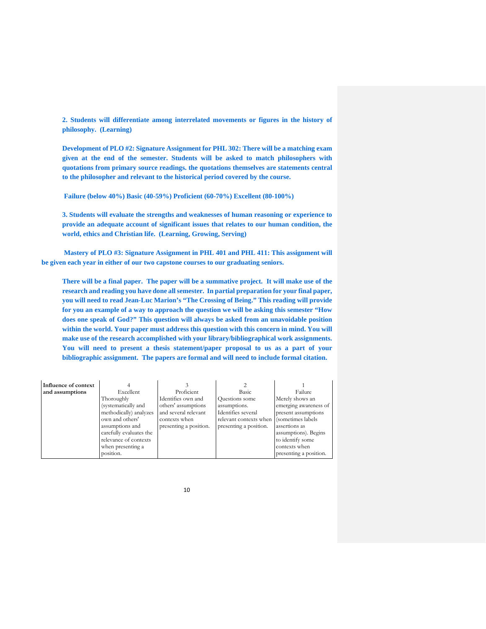**2. Students will differentiate among interrelated movements or figures in the history of philosophy. (Learning)**

**Development of PLO #2: Signature Assignment for PHL 302: There will be a matching exam given at the end of the semester. Students will be asked to match philosophers with quotations from primary source readings. the quotations themselves are statements central to the philosopher and relevant to the historical period covered by the course.**

**Failure (below 40%) Basic (40-59%) Proficient (60-70%) Excellent (80-100%)**

**3. Students will evaluate the strengths and weaknesses of human reasoning or experience to provide an adequate account of significant issues that relates to our human condition, the world, ethics and Christian life. (Learning, Growing, Serving)**

**Mastery of PLO #3: Signature Assignment in PHL 401 and PHL 411: This assignment will be given each year in either of our two capstone courses to our graduating seniors.**

**There will be a final paper. The paper will be a summative project. It will make use of the research and reading you have done all semester. In partial preparation for your final paper, you will need to read Jean-Luc Marion's "The Crossing of Being." This reading will provide for you an example of a way to approach the question we will be asking this semester "How does one speak of God?" This question will always be asked from an unavoidable position within the world. Your paper must address this question with this concern in mind. You will make use of the research accomplished with your library/bibliographical work assignments. You will need to present a thesis statement/paper proposal to us as a part of your bibliographic assignment. The papers are formal and will need to include formal citation.**

| Influence of context |                         |                        |                        |                        |
|----------------------|-------------------------|------------------------|------------------------|------------------------|
| and assumptions      | Excellent               | Proficient             | Basic                  | Failure                |
|                      | Thoroughly              | Identifies own and     | Questions some         | Merely shows an        |
|                      | (systematically and     | others' assumptions    | assumptions.           | emerging awareness of  |
|                      | methodically) analyzes  | and several relevant   | Identifies several     | present assumptions    |
|                      | own and others'         | contexts when          | relevant contexts when | (sometimes labels)     |
|                      | assumptions and         | presenting a position. | presenting a position. | assertions as          |
|                      | carefully evaluates the |                        |                        | assumptions). Begins   |
|                      | relevance of contexts   |                        |                        | to identify some       |
|                      | when presenting a       |                        |                        | contexts when          |
|                      | position.               |                        |                        | presenting a position. |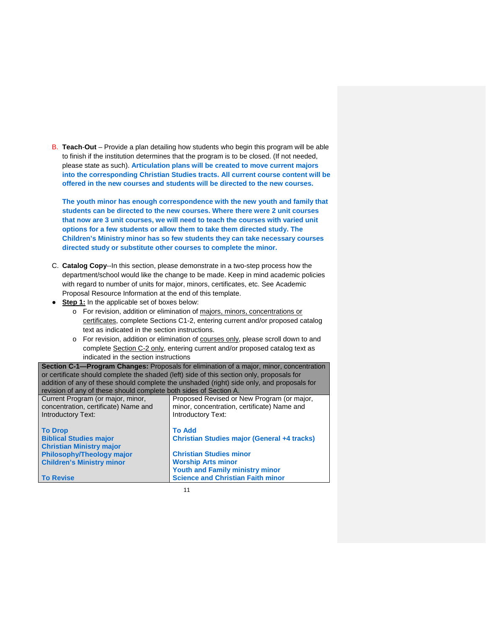B. **Teach**-**Out** – Provide a plan detailing how students who begin this program will be able to finish if the institution determines that the program is to be closed. (If not needed, please state as such). **Articulation plans will be created to move current majors into the corresponding Christian Studies tracts. All current course content will be offered in the new courses and students will be directed to the new courses.** 

**The youth minor has enough correspondence with the new youth and family that students can be directed to the new courses. Where there were 2 unit courses that now are 3 unit courses, we will need to teach the courses with varied unit options for a few students or allow them to take them directed study. The Children's Ministry minor has so few students they can take necessary courses directed study or substitute other courses to complete the minor.** 

- C. **Catalog Copy**--In this section, please demonstrate in a two-step process how the department/school would like the change to be made. Keep in mind academic policies with regard to number of units for major, minors, certificates, etc. See Academic Proposal Resource Information at the end of this template.
- **Step 1:** In the applicable set of boxes below:
	- o For revision, addition or elimination of majors, minors, concentrations or certificates, complete Sections C1-2, entering current and/or proposed catalog text as indicated in the section instructions.
	- o For revision, addition or elimination of courses only, please scroll down to and complete Section C-2 only, entering current and/or proposed catalog text as indicated in the section instructions

**Section C-1—Program Changes:** Proposals for elimination of a major, minor, concentration or certificate should complete the shaded (left) side of this section only, proposals for addition of any of these should complete the unshaded (right) side only, and proposals for revision of any of these should complete both sides of Section A. Current Program (or major, minor, concentration, certificate) Name and Introductory Text: **To Drop Biblical Studies major Christian Ministry major Philosophy/Theology major Children's Ministry minor To Revise** Proposed Revised or New Program (or major, minor, concentration, certificate) Name and Introductory Text: **To Add Christian Studies major (General +4 tracks) Christian Studies minor Worship Arts minor Youth and Family ministry minor Science and Christian Faith minor**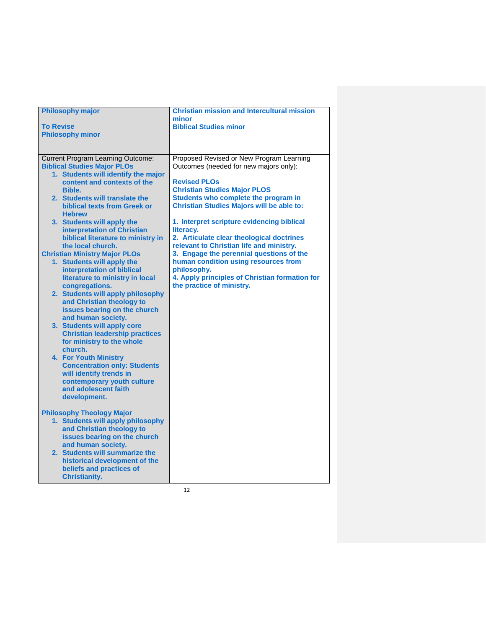| <b>Philosophy major</b>                                               | <b>Christian mission and Intercultural mission</b>                                    |
|-----------------------------------------------------------------------|---------------------------------------------------------------------------------------|
|                                                                       | minor                                                                                 |
| <b>To Revise</b><br><b>Philosophy minor</b>                           | <b>Biblical Studies minor</b>                                                         |
|                                                                       |                                                                                       |
|                                                                       |                                                                                       |
| <b>Current Program Learning Outcome:</b>                              | Proposed Revised or New Program Learning                                              |
| <b>Biblical Studies Major PLOs</b>                                    | Outcomes (needed for new majors only):                                                |
| 1. Students will identify the major<br>content and contexts of the    | <b>Revised PLOs</b>                                                                   |
| <b>Rible</b>                                                          | <b>Christian Studies Major PLOS</b>                                                   |
| 2. Students will translate the                                        | Students who complete the program in                                                  |
| biblical texts from Greek or                                          | <b>Christian Studies Majors will be able to:</b>                                      |
| <b>Hebrew</b>                                                         |                                                                                       |
| 3. Students will apply the                                            | 1. Interpret scripture evidencing biblical                                            |
| interpretation of Christian                                           | literacy.                                                                             |
| biblical literature to ministry in<br>the local church.               | 2. Articulate clear theological doctrines<br>relevant to Christian life and ministry. |
| <b>Christian Ministry Major PLOs</b>                                  | 3. Engage the perennial questions of the                                              |
| 1. Students will apply the                                            | human condition using resources from                                                  |
| interpretation of biblical                                            | philosophy.                                                                           |
| literature to ministry in local                                       | 4. Apply principles of Christian formation for                                        |
| congregations.                                                        | the practice of ministry.                                                             |
| 2. Students will apply philosophy                                     |                                                                                       |
| and Christian theology to<br>issues bearing on the church             |                                                                                       |
| and human society.                                                    |                                                                                       |
| 3. Students will apply core                                           |                                                                                       |
| <b>Christian leadership practices</b>                                 |                                                                                       |
| for ministry to the whole                                             |                                                                                       |
| church.                                                               |                                                                                       |
| 4. For Youth Ministry<br><b>Concentration only: Students</b>          |                                                                                       |
| will identify trends in                                               |                                                                                       |
| contemporary youth culture                                            |                                                                                       |
| and adolescent faith                                                  |                                                                                       |
| development.                                                          |                                                                                       |
|                                                                       |                                                                                       |
| <b>Philosophy Theology Major</b><br>1. Students will apply philosophy |                                                                                       |
| and Christian theology to                                             |                                                                                       |
| issues bearing on the church                                          |                                                                                       |
| and human society.                                                    |                                                                                       |
| 2. Students will summarize the                                        |                                                                                       |
| historical development of the                                         |                                                                                       |
| beliefs and practices of                                              |                                                                                       |
| <b>Christianity.</b>                                                  |                                                                                       |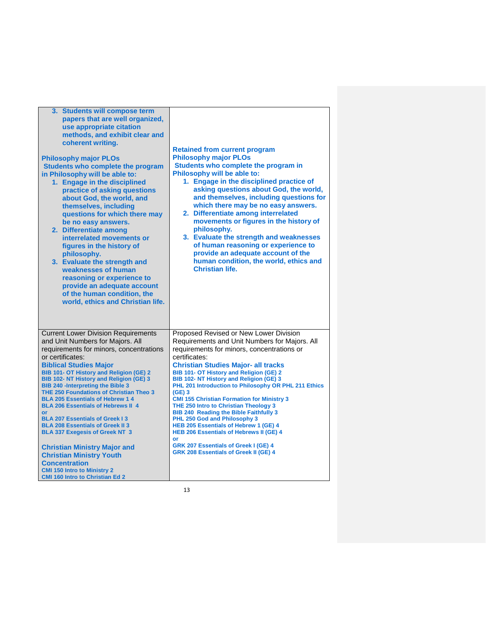| 3. Students will compose term<br>papers that are well organized,<br>use appropriate citation<br>methods, and exhibit clear and<br>coherent writing.<br><b>Philosophy major PLOs</b><br>Students who complete the program<br>in Philosophy will be able to:<br>1. Engage in the disciplined<br>practice of asking questions<br>about God, the world, and<br>themselves, including<br>questions for which there may<br>be no easy answers.<br>2. Differentiate among<br>interrelated movements or<br>figures in the history of<br>philosophy.<br>3. Evaluate the strength and<br>weaknesses of human<br>reasoning or experience to<br>provide an adequate account<br>of the human condition, the<br>world, ethics and Christian life.                                                   | <b>Retained from current program</b><br><b>Philosophy major PLOs</b><br>Students who complete the program in<br>Philosophy will be able to:<br>1. Engage in the disciplined practice of<br>asking questions about God, the world,<br>and themselves, including questions for<br>which there may be no easy answers.<br>2. Differentiate among interrelated<br>movements or figures in the history of<br>philosophy.<br>3. Evaluate the strength and weaknesses<br>of human reasoning or experience to<br>provide an adequate account of the<br>human condition, the world, ethics and<br><b>Christian life.</b>                                                                                                                 |
|---------------------------------------------------------------------------------------------------------------------------------------------------------------------------------------------------------------------------------------------------------------------------------------------------------------------------------------------------------------------------------------------------------------------------------------------------------------------------------------------------------------------------------------------------------------------------------------------------------------------------------------------------------------------------------------------------------------------------------------------------------------------------------------|---------------------------------------------------------------------------------------------------------------------------------------------------------------------------------------------------------------------------------------------------------------------------------------------------------------------------------------------------------------------------------------------------------------------------------------------------------------------------------------------------------------------------------------------------------------------------------------------------------------------------------------------------------------------------------------------------------------------------------|
| <b>Current Lower Division Requirements</b><br>and Unit Numbers for Majors. All<br>requirements for minors, concentrations<br>or certificates:<br><b>Biblical Studies Major</b><br>BIB 101- OT History and Religion (GE) 2<br>BIB 102- NT History and Religion (GE) 3<br><b>BIB 240 -Interpreting the Bible 3</b><br><b>THE 250 Foundations of Christian Theo 3</b><br><b>BLA 205 Essentials of Hebrew 14</b><br><b>BLA 206 Essentials of Hebrews II 4</b><br><b>or</b><br><b>BLA 207 Essentials of Greek I3</b><br><b>BLA 208 Essentials of Greek II 3</b><br><b>BLA 337 Exegesis of Greek NT 3</b><br><b>Christian Ministry Major and</b><br><b>Christian Ministry Youth</b><br><b>Concentration</b><br><b>CMI 150 Intro to Ministry 2</b><br><b>CMI 160 Intro to Christian Ed 2</b> | Proposed Revised or New Lower Division<br>Requirements and Unit Numbers for Majors. All<br>requirements for minors, concentrations or<br>certificates:<br><b>Christian Studies Major- all tracks</b><br>BIB 101- OT History and Religion (GE) 2<br>BIB 102- NT History and Religion (GE) 3<br>PHL 201 Introduction to Philosophy OR PHL 211 Ethics<br>$(GE)$ 3<br><b>CMI 155 Christian Formation for Ministry 3</b><br>THE 250 Intro to Christian Theology 3<br><b>BIB 240 Reading the Bible Faithfully 3</b><br>PHL 250 God and Philosophy 3<br>HEB 205 Essentials of Hebrew 1 (GE) 4<br><b>HEB 206 Essentials of Hebrews II (GE) 4</b><br>or<br>GRK 207 Essentials of Greek I (GE) 4<br>GRK 208 Essentials of Greek II (GE) 4 |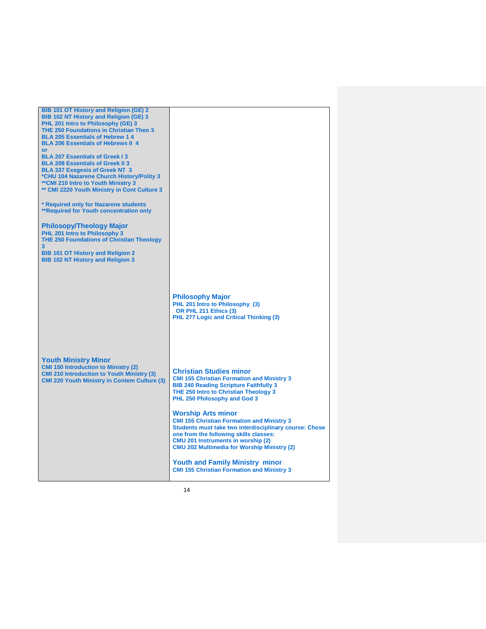| <b>BIB 101 OT History and Religion (GE) 2</b>                              |                                                                                             |
|----------------------------------------------------------------------------|---------------------------------------------------------------------------------------------|
|                                                                            |                                                                                             |
| <b>BIB 102 NT History and Religion (GE) 3</b>                              |                                                                                             |
| PHL 201 Intro to Philosophy (GE) 3                                         |                                                                                             |
| <b>THE 250 Foundations in Christian Theo 3</b>                             |                                                                                             |
| <b>BLA 205 Essentials of Hebrew 14</b>                                     |                                                                                             |
| <b>BLA 206 Essentials of Hebrews II 4</b>                                  |                                                                                             |
| or<br><b>BLA 207 Essentials of Greek I3</b>                                |                                                                                             |
| <b>BLA 208 Essentials of Greek II 3</b>                                    |                                                                                             |
| <b>BLA 337 Exegesis of Greek NT 3</b>                                      |                                                                                             |
| *CHU 104 Nazarene Church History/Polity 3                                  |                                                                                             |
| ** CMI 210 Intro to Youth Ministry 3                                       |                                                                                             |
| ** CMI 2220 Youth Ministry in Cont Culture 3                               |                                                                                             |
|                                                                            |                                                                                             |
| * Required only for Nazarene students                                      |                                                                                             |
| **Required for Youth concentration only                                    |                                                                                             |
|                                                                            |                                                                                             |
| <b>Philosopy/Theology Major</b>                                            |                                                                                             |
| PHL 201 Intro to Philosophy 3                                              |                                                                                             |
| <b>THE 250 Foundations of Christian Theology</b>                           |                                                                                             |
| 3                                                                          |                                                                                             |
| <b>BIB 101 OT History and Religion 2</b>                                   |                                                                                             |
| <b>BIB 102 NT History and Religion 3</b>                                   |                                                                                             |
|                                                                            |                                                                                             |
|                                                                            |                                                                                             |
|                                                                            |                                                                                             |
|                                                                            |                                                                                             |
|                                                                            | <b>Philosophy Major</b>                                                                     |
|                                                                            |                                                                                             |
|                                                                            |                                                                                             |
|                                                                            | PHL 201 Intro to Philosophy (3)                                                             |
|                                                                            | OR PHL 211 Ethics (3)                                                                       |
|                                                                            | <b>PHL 277 Logic and Critical Thinking (3)</b>                                              |
|                                                                            |                                                                                             |
|                                                                            |                                                                                             |
|                                                                            |                                                                                             |
|                                                                            |                                                                                             |
|                                                                            |                                                                                             |
| <b>Youth Ministry Minor</b><br><b>CMI 150 Introduction to Ministry (2)</b> |                                                                                             |
| <b>CMI 210 Introduction to Youth Ministry (3)</b>                          | <b>Christian Studies minor</b>                                                              |
| <b>CMI 220 Youth Ministry in Contem Culture (3)</b>                        | <b>CMI 155 Christian Formation and Ministry 3</b>                                           |
|                                                                            | <b>BIB 240 Reading Scripture Faithfully 3</b>                                               |
|                                                                            | THE 250 Intro to Christian Theology 3                                                       |
|                                                                            | PHL 250 Philosophy and God 3                                                                |
|                                                                            |                                                                                             |
|                                                                            | <b>Worship Arts minor</b>                                                                   |
|                                                                            | <b>CMI 155 Christian Formation and Ministry 3</b>                                           |
|                                                                            | Students must take two interdisciplinary course: Chose                                      |
|                                                                            | one from the following skills classes:                                                      |
|                                                                            | <b>CMU 201 Instruments in worship (2)</b>                                                   |
|                                                                            | <b>CMU 202 Multimedia for Worship Ministry (2)</b>                                          |
|                                                                            |                                                                                             |
|                                                                            | <b>Youth and Family Ministry minor</b><br><b>CMI 155 Christian Formation and Ministry 3</b> |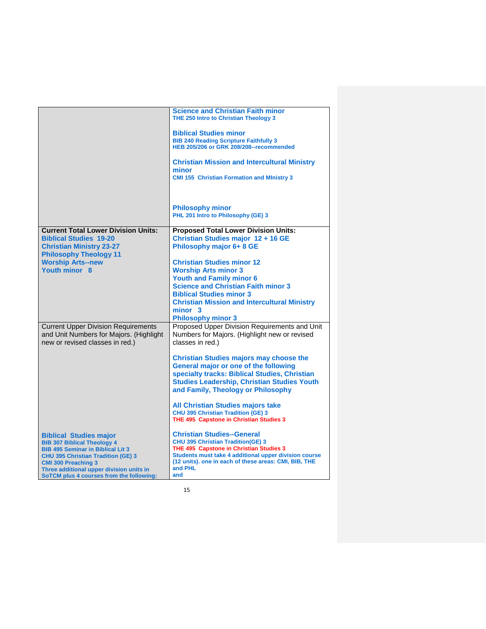|                                            | <b>Science and Christian Faith minor</b>                                              |
|--------------------------------------------|---------------------------------------------------------------------------------------|
|                                            | THE 250 Intro to Christian Theology 3                                                 |
|                                            |                                                                                       |
|                                            | <b>Biblical Studies minor</b>                                                         |
|                                            | <b>BIB 240 Reading Scripture Faithfully 3</b>                                         |
|                                            | <b>HEB 205/206 or GRK 208/208--recommended</b>                                        |
|                                            |                                                                                       |
|                                            | <b>Christian Mission and Intercultural Ministry</b>                                   |
|                                            | minor                                                                                 |
|                                            | <b>CMI 155 Christian Formation and MInistry 3</b>                                     |
|                                            |                                                                                       |
|                                            |                                                                                       |
|                                            |                                                                                       |
|                                            | <b>Philosophy minor</b>                                                               |
|                                            | PHL 201 Intro to Philosophy (GE) 3                                                    |
|                                            |                                                                                       |
| <b>Current Total Lower Division Units:</b> | <b>Proposed Total Lower Division Units:</b>                                           |
| <b>Biblical Studies 19-20</b>              | Christian Studies major 12 + 16 GE                                                    |
| <b>Christian Ministry 23-27</b>            | Philosophy major 6+8 GE                                                               |
| <b>Philosophy Theology 11</b>              |                                                                                       |
| <b>Worship Arts--new</b>                   | <b>Christian Studies minor 12</b>                                                     |
| Youth minor 8                              |                                                                                       |
|                                            | <b>Worship Arts minor 3</b>                                                           |
|                                            | <b>Youth and Family minor 6</b>                                                       |
|                                            | <b>Science and Christian Faith minor 3</b>                                            |
|                                            | <b>Biblical Studies minor 3</b>                                                       |
|                                            | <b>Christian Mission and Intercultural Ministry</b>                                   |
|                                            | minor <sub>3</sub>                                                                    |
|                                            | <b>Philosophy minor 3</b>                                                             |
| <b>Current Upper Division Requirements</b> | Proposed Upper Division Requirements and Unit                                         |
| and Unit Numbers for Majors. (Highlight    | Numbers for Majors. (Highlight new or revised                                         |
| new or revised classes in red.)            | classes in red.)                                                                      |
|                                            |                                                                                       |
|                                            | <b>Christian Studies majors may choose the</b>                                        |
|                                            | General major or one of the following                                                 |
|                                            | specialty tracks: Biblical Studies, Christian                                         |
|                                            | <b>Studies Leadership, Christian Studies Youth</b>                                    |
|                                            | and Family, Theology or Philosophy                                                    |
|                                            |                                                                                       |
|                                            |                                                                                       |
|                                            | <b>All Christian Studies majors take</b><br><b>CHU 395 Christian Tradition (GE) 3</b> |
|                                            | THE 495 Capstone in Christian Studies 3                                               |
|                                            |                                                                                       |
| <b>Biblical Studies major</b>              | <b>Christian Studies--General</b>                                                     |
| <b>BIB 307 Biblical Theology 4</b>         | <b>CHU 395 Christian Tradition(GE) 3</b>                                              |
| <b>BIB 495 Seminar in Biblical Lit 3</b>   | THE 495 Capstone in Christian Studies 3                                               |
| <b>CHU 395 Christian Tradition (GE) 3</b>  | Students must take 4 additional upper division course                                 |
| <b>CMI 300 Preaching 3</b>                 | (12 units). one in each of these areas: CMI, BIB, THE                                 |
| Three additional upper division units in   | and PHL                                                                               |
| SoTCM plus 4 courses from the following:   | and                                                                                   |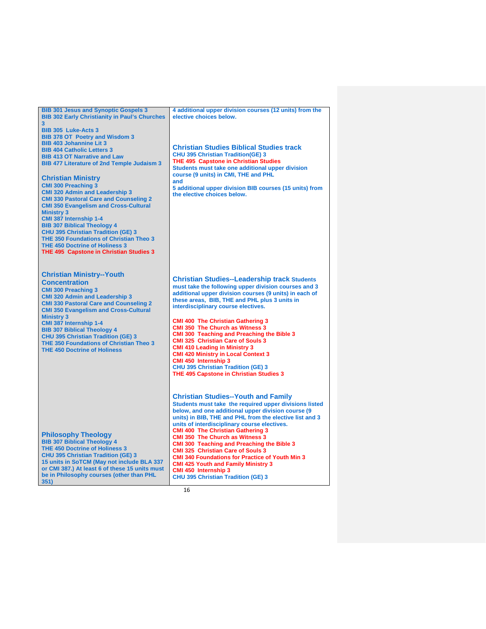| <b>BIB 301 Jesus and Synoptic Gospels 3</b><br><b>BIB 302 Early Christianity in Paul's Churches</b>                                                                                                                                                                                                                                                                                                                                                                                                                                                                                                                                                                                                               | 4 additional upper division courses (12 units) from the<br>elective choices below.                                                                                                                                                                                                                                                                                                                                                                                                                                                                                                                                                           |
|-------------------------------------------------------------------------------------------------------------------------------------------------------------------------------------------------------------------------------------------------------------------------------------------------------------------------------------------------------------------------------------------------------------------------------------------------------------------------------------------------------------------------------------------------------------------------------------------------------------------------------------------------------------------------------------------------------------------|----------------------------------------------------------------------------------------------------------------------------------------------------------------------------------------------------------------------------------------------------------------------------------------------------------------------------------------------------------------------------------------------------------------------------------------------------------------------------------------------------------------------------------------------------------------------------------------------------------------------------------------------|
| 3<br><b>BIB 305 Luke-Acts 3</b><br><b>BIB 378 OT Poetry and Wisdom 3</b><br><b>BIB 403 Johannine Lit 3</b><br><b>BIB 404 Catholic Letters 3</b><br><b>BIB 413 OT Narrative and Law</b><br><b>BIB 477 Literature of 2nd Temple Judaism 3</b><br><b>Christian Ministry</b><br><b>CMI 300 Preaching 3</b><br><b>CMI 320 Admin and Leadership 3</b><br><b>CMI 330 Pastoral Care and Counseling 2</b><br><b>CMI 350 Evangelism and Cross-Cultural</b><br><b>Ministry 3</b><br>CMI 387 Internship 1-4<br><b>BIB 307 Biblical Theology 4</b><br><b>CHU 395 Christian Tradition (GE) 3</b><br>THE 350 Foundations of Christian Theo 3<br><b>THE 450 Doctrine of Holiness 3</b><br>THE 495 Capstone in Christian Studies 3 | <b>Christian Studies Biblical Studies track</b><br><b>CHU 395 Christian Tradition(GE) 3</b><br>THE 495 Capstone in Christian Studies<br>Students must take one additional upper division<br>course (9 units) in CMI, THE and PHL<br>and<br>5 additional upper division BIB courses (15 units) from<br>the elective choices below.                                                                                                                                                                                                                                                                                                            |
| <b>Christian Ministry--Youth</b><br><b>Concentration</b><br><b>CMI 300 Preaching 3</b><br><b>CMI 320 Admin and Leadership 3</b><br><b>CMI 330 Pastoral Care and Counseling 2</b><br><b>CMI 350 Evangelism and Cross-Cultural</b><br><b>Ministry 3</b><br>CMI 387 Internship 1-4<br><b>BIB 307 Biblical Theology 4</b><br><b>CHU 395 Christian Tradition (GE) 3</b><br>THE 350 Foundations of Christian Theo 3<br><b>THE 450 Doctrine of Holiness</b>                                                                                                                                                                                                                                                              | <b>Christian Studies--Leadership track Students</b><br>must take the following upper division courses and 3<br>additional upper division courses (9 units) in each of<br>these areas, BIB, THE and PHL plus 3 units in<br>interdisciplinary course electives.<br><b>CMI 400 The Christian Gathering 3</b><br>CMI 350 The Church as Witness 3<br>CMI 300 Teaching and Preaching the Bible 3<br><b>CMI 325 Christian Care of Souls 3</b><br><b>CMI 410 Leading in Ministry 3</b><br><b>CMI 420 Ministry in Local Context 3</b><br>CMI 450 Internship 3<br><b>CHU 395 Christian Tradition (GE) 3</b><br>THE 495 Capstone in Christian Studies 3 |
| <b>Philosophy Theology</b><br><b>BIB 307 Biblical Theology 4</b><br><b>THE 450 Doctrine of Holiness 3</b><br><b>CHU 395 Christian Tradition (GE) 3</b><br>15 units in SoTCM (May not include BLA 337<br>or CMI 387.) At least 6 of these 15 units must<br>be in Philosophy courses (other than PHL<br>351)                                                                                                                                                                                                                                                                                                                                                                                                        | <b>Christian Studies--Youth and Family</b><br>Students must take the required upper divisions listed<br>below, and one additional upper division course (9<br>units) in BIB, THE and PHL from the elective list and 3<br>units of interdisciplinary course electives.<br><b>CMI 400 The Christian Gathering 3</b><br>CMI 350 The Church as Witness 3<br>CMI 300 Teaching and Preaching the Bible 3<br><b>CMI 325 Christian Care of Souls 3</b><br><b>CMI 340 Foundations for Practice of Youth Min 3</b><br><b>CMI 425 Youth and Family Ministry 3</b><br>CMI 450 Internship 3<br><b>CHU 395 Christian Tradition (GE) 3</b>                  |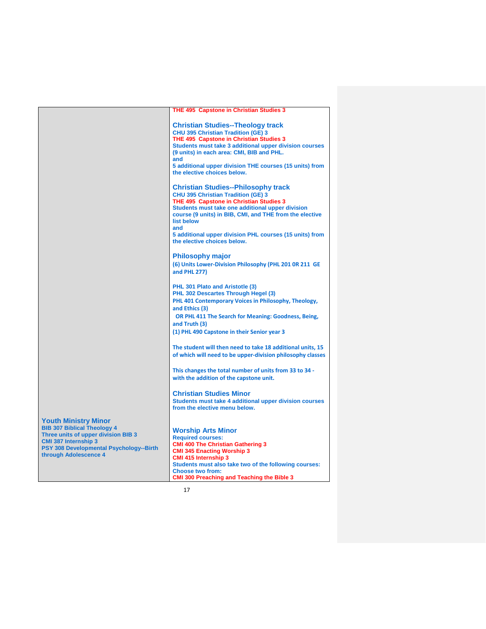|                                                                                                                                                                                                             | THE 495 Capstone in Christian Studies 3                                                                                                                                                                                                                                                                                                  |
|-------------------------------------------------------------------------------------------------------------------------------------------------------------------------------------------------------------|------------------------------------------------------------------------------------------------------------------------------------------------------------------------------------------------------------------------------------------------------------------------------------------------------------------------------------------|
|                                                                                                                                                                                                             | <b>Christian Studies--Theology track</b><br><b>CHU 395 Christian Tradition (GE) 3</b><br>THE 495 Capstone in Christian Studies 3<br>Students must take 3 additional upper division courses<br>(9 units) in each area: CMI, BIB and PHL.<br>and<br>5 additional upper division THE courses (15 units) from<br>the elective choices below. |
|                                                                                                                                                                                                             | <b>Christian Studies--Philosophy track</b><br><b>CHU 395 Christian Tradition (GE) 3</b><br>THE 495 Capstone in Christian Studies 3<br>Students must take one additional upper division<br>course (9 units) in BIB, CMI, and THE from the elective<br>list below<br>and<br>5 additional upper division PHL courses (15 units) from        |
|                                                                                                                                                                                                             | the elective choices below.<br><b>Philosophy major</b><br>(6) Units Lower-Division Philosophy (PHL 201 OR 211 GE<br>and PHL 277)                                                                                                                                                                                                         |
|                                                                                                                                                                                                             | PHL 301 Plato and Aristotle (3)<br>PHL 302 Descartes Through Hegel (3)<br>PHL 401 Contemporary Voices in Philosophy, Theology,<br>and Ethics (3)<br>OR PHL 411 The Search for Meaning: Goodness, Being,<br>and Truth (3)<br>(1) PHL 490 Capstone in their Senior year 3                                                                  |
|                                                                                                                                                                                                             | The student will then need to take 18 additional units, 15<br>of which will need to be upper-division philosophy classes                                                                                                                                                                                                                 |
|                                                                                                                                                                                                             | This changes the total number of units from 33 to 34 -<br>with the addition of the capstone unit.                                                                                                                                                                                                                                        |
|                                                                                                                                                                                                             | <b>Christian Studies Minor</b><br>Students must take 4 additional upper division courses<br>from the elective menu below.                                                                                                                                                                                                                |
| <b>Youth Ministry Minor</b><br><b>BIB 307 Biblical Theology 4</b><br>Three units of upper division BIB 3<br><b>CMI 387 Internship 3</b><br>PSY 308 Developmental Psychology--Birth<br>through Adolescence 4 | <b>Worship Arts Minor</b><br><b>Required courses:</b><br><b>CMI 400 The Christian Gathering 3</b><br><b>CMI 345 Enacting Worship 3</b><br>CMI 415 Internship 3<br>Students must also take two of the following courses:<br><b>Choose two from:</b><br><b>CMI 300 Preaching and Teaching the Bible 3</b>                                  |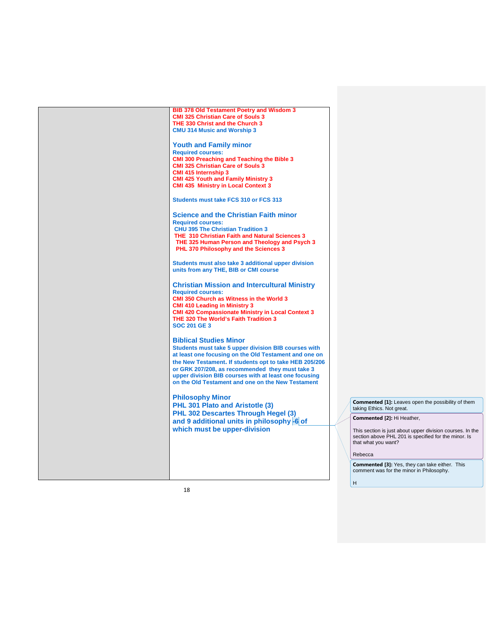| <b>BIB 378 Old Testament Poetry and Wisdom 3</b><br><b>CMI 325 Christian Care of Souls 3</b><br>THE 330 Christ and the Church 3<br><b>CMU 314 Music and Worship 3</b><br><b>Youth and Family minor</b><br><b>Required courses:</b><br>CMI 300 Preaching and Teaching the Bible 3<br><b>CMI 325 Christian Care of Souls 3</b><br><b>CMI 415 Internship 3</b><br><b>CMI 425 Youth and Family Ministry 3</b><br><b>CMI 435 Ministry in Local Context 3</b><br>Students must take FCS 310 or FCS 313<br><b>Science and the Christian Faith minor</b><br><b>Required courses:</b><br><b>CHU 395 The Christian Tradition 3</b><br>THE 310 Christian Faith and Natural Sciences 3<br>THE 325 Human Person and Theology and Psych 3<br>PHL 370 Philosophy and the Sciences 3<br>Students must also take 3 additional upper division<br>units from any THE, BIB or CMI course<br><b>Christian Mission and Intercultural Ministry</b><br><b>Required courses:</b><br>CMI 350 Church as Witness in the World 3<br><b>CMI 410 Leading in Ministry 3</b><br><b>CMI 420 Compassionate Ministry in Local Context 3</b><br>THE 320 The World's Faith Tradition 3<br><b>SOC 201 GE 3</b><br><b>Biblical Studies Minor</b><br>Students must take 5 upper division BIB courses with<br>at least one focusing on the Old Testament and one on<br>the New Testament. If students opt to take HEB 205/206<br>or GRK 207/208, as recommended they must take 3<br>upper division BIB courses with at least one focusing<br>on the Old Testament and one on the New Testament<br><b>Philosophy Minor</b><br>PHL 301 Plato and Aristotle (3)<br><b>PHL 302 Descartes Through Hegel (3)</b><br>and 9 additional units in philosophy $-6$ of<br>which must be upper-division |  | <b>Commented [1]:</b> Leaves open the possibility of them<br>taking Ethics. Not great.<br>Commented [2]: Hi Heather,<br>This section is just about upper division courses. In the<br>section above PHL 201 is specified for the minor. Is<br>that what you want?<br>Rebecca<br><b>Commented [3]:</b> Yes, they can take either. This<br>comment was for the minor in Philosophy.<br>Н |
|--------------------------------------------------------------------------------------------------------------------------------------------------------------------------------------------------------------------------------------------------------------------------------------------------------------------------------------------------------------------------------------------------------------------------------------------------------------------------------------------------------------------------------------------------------------------------------------------------------------------------------------------------------------------------------------------------------------------------------------------------------------------------------------------------------------------------------------------------------------------------------------------------------------------------------------------------------------------------------------------------------------------------------------------------------------------------------------------------------------------------------------------------------------------------------------------------------------------------------------------------------------------------------------------------------------------------------------------------------------------------------------------------------------------------------------------------------------------------------------------------------------------------------------------------------------------------------------------------------------------------------------------------------------------------------------------------------------------------------------------------|--|---------------------------------------------------------------------------------------------------------------------------------------------------------------------------------------------------------------------------------------------------------------------------------------------------------------------------------------------------------------------------------------|
|--------------------------------------------------------------------------------------------------------------------------------------------------------------------------------------------------------------------------------------------------------------------------------------------------------------------------------------------------------------------------------------------------------------------------------------------------------------------------------------------------------------------------------------------------------------------------------------------------------------------------------------------------------------------------------------------------------------------------------------------------------------------------------------------------------------------------------------------------------------------------------------------------------------------------------------------------------------------------------------------------------------------------------------------------------------------------------------------------------------------------------------------------------------------------------------------------------------------------------------------------------------------------------------------------------------------------------------------------------------------------------------------------------------------------------------------------------------------------------------------------------------------------------------------------------------------------------------------------------------------------------------------------------------------------------------------------------------------------------------------------|--|---------------------------------------------------------------------------------------------------------------------------------------------------------------------------------------------------------------------------------------------------------------------------------------------------------------------------------------------------------------------------------------|

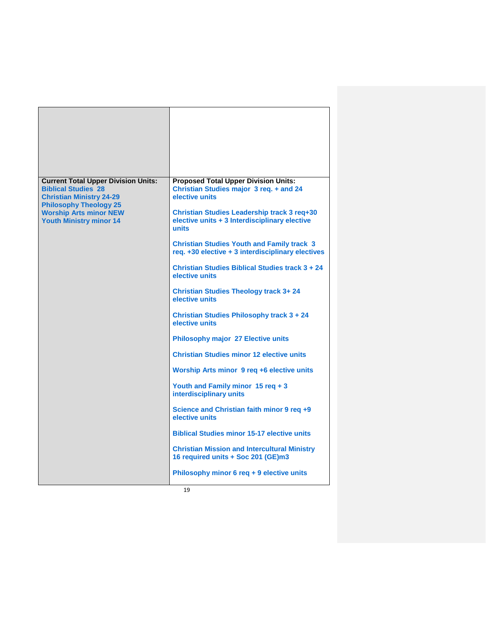| <b>Current Total Upper Division Units:</b><br><b>Biblical Studies 28</b><br><b>Christian Ministry 24-29</b><br><b>Philosophy Theology 25</b><br><b>Worship Arts minor NEW</b><br><b>Youth Ministry minor 14</b> | <b>Proposed Total Upper Division Units:</b><br>Christian Studies major 3 req. + and 24<br>elective units |
|-----------------------------------------------------------------------------------------------------------------------------------------------------------------------------------------------------------------|----------------------------------------------------------------------------------------------------------|
|                                                                                                                                                                                                                 | Christian Studies Leadership track 3 req+30<br>elective units + 3 Interdisciplinary elective<br>units    |
|                                                                                                                                                                                                                 | <b>Christian Studies Youth and Family track 3</b><br>req. +30 elective + 3 interdisciplinary electives   |
|                                                                                                                                                                                                                 | Christian Studies Biblical Studies track 3 + 24<br>elective units                                        |
|                                                                                                                                                                                                                 | <b>Christian Studies Theology track 3+24</b><br>elective units                                           |
|                                                                                                                                                                                                                 | Christian Studies Philosophy track 3 + 24<br>elective units                                              |
|                                                                                                                                                                                                                 | <b>Philosophy major 27 Elective units</b>                                                                |
|                                                                                                                                                                                                                 | <b>Christian Studies minor 12 elective units</b>                                                         |
|                                                                                                                                                                                                                 | Worship Arts minor 9 req +6 elective units                                                               |
|                                                                                                                                                                                                                 | Youth and Family minor 15 req + 3<br>interdisciplinary units                                             |
|                                                                                                                                                                                                                 | Science and Christian faith minor 9 req +9<br>elective units                                             |
|                                                                                                                                                                                                                 | <b>Biblical Studies minor 15-17 elective units</b>                                                       |
|                                                                                                                                                                                                                 | <b>Christian Mission and Intercultural Ministry</b><br>16 required units + Soc 201 (GE)m3                |
|                                                                                                                                                                                                                 | Philosophy minor 6 req + 9 elective units                                                                |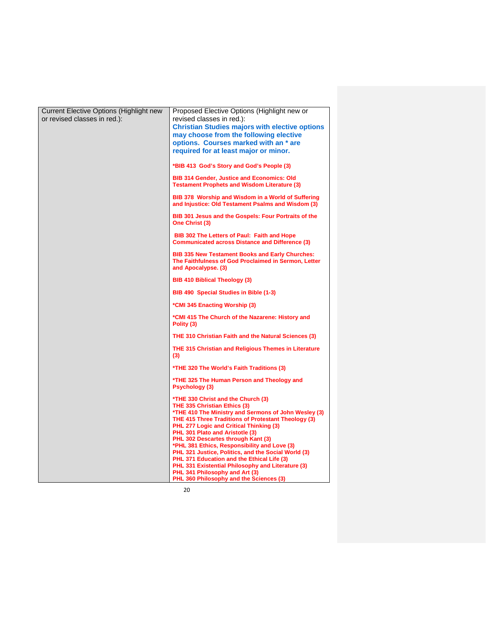| Current Elective Options (Highlight new | Proposed Elective Options (Highlight new or                                                                                           |
|-----------------------------------------|---------------------------------------------------------------------------------------------------------------------------------------|
| or revised classes in red.):            | revised classes in red.):                                                                                                             |
|                                         | <b>Christian Studies majors with elective options</b>                                                                                 |
|                                         | may choose from the following elective                                                                                                |
|                                         | options. Courses marked with an * are                                                                                                 |
|                                         | required for at least major or minor.                                                                                                 |
|                                         | *BIB 413 God's Story and God's People (3)                                                                                             |
|                                         | <b>BIB 314 Gender, Justice and Economics: Old</b><br><b>Testament Prophets and Wisdom Literature (3)</b>                              |
|                                         | BIB 378 Worship and Wisdom in a World of Suffering<br>and Injustice: Old Testament Psalms and Wisdom (3)                              |
|                                         | <b>BIB 301 Jesus and the Gospels: Four Portraits of the</b><br>One Christ (3)                                                         |
|                                         | BIB 302 The Letters of Paul: Faith and Hope<br><b>Communicated across Distance and Difference (3)</b>                                 |
|                                         | <b>BIB 335 New Testament Books and Early Churches:</b><br>The Faithfulness of God Proclaimed in Sermon, Letter<br>and Apocalypse. (3) |
|                                         | <b>BIB 410 Biblical Theology (3)</b>                                                                                                  |
|                                         | BIB 490 Special Studies in Bible (1-3)                                                                                                |
|                                         | *CMI 345 Enacting Worship (3)                                                                                                         |
|                                         | *CMI 415 The Church of the Nazarene: History and<br>Polity (3)                                                                        |
|                                         | THE 310 Christian Faith and the Natural Sciences (3)                                                                                  |
|                                         | THE 315 Christian and Religious Themes in Literature<br>(3)                                                                           |
|                                         | *THE 320 The World's Faith Traditions (3)                                                                                             |
|                                         | *THE 325 The Human Person and Theology and<br><b>Psychology (3)</b>                                                                   |
|                                         | *THE 330 Christ and the Church (3)                                                                                                    |
|                                         | THE 335 Christian Ethics (3)                                                                                                          |
|                                         | *THE 410 The Ministry and Sermons of John Wesley (3)                                                                                  |
|                                         | THE 415 Three Traditions of Protestant Theology (3)                                                                                   |
|                                         | <b>PHL 277 Logic and Critical Thinking (3)</b><br>PHL 301 Plato and Aristotle (3)                                                     |
|                                         | PHL 302 Descartes through Kant (3)                                                                                                    |
|                                         | *PHL 381 Ethics, Responsibility and Love (3)                                                                                          |
|                                         | PHL 321 Justice, Politics, and the Social World (3)                                                                                   |
|                                         | PHL 371 Education and the Ethical Life (3)                                                                                            |
|                                         | PHL 331 Existential Philosophy and Literature (3)<br>PHL 341 Philosophy and Art (3)                                                   |
|                                         | PHL 360 Philosophy and the Sciences (3)                                                                                               |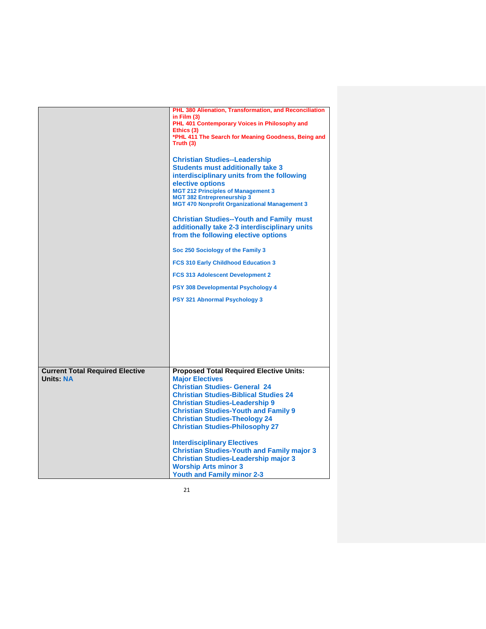|                                                           | PHL 380 Alienation, Transformation, and Reconciliation<br>in Film (3)<br>PHL 401 Contemporary Voices in Philosophy and<br>Ethics (3)<br>*PHL 411 The Search for Meaning Goodness, Being and<br>Truth (3)<br><b>Christian Studies--Leadership</b><br><b>Students must additionally take 3</b><br>interdisciplinary units from the following<br>elective options<br><b>MGT 212 Principles of Management 3</b><br><b>MGT 382 Entrepreneurship 3</b><br><b>MGT 470 Nonprofit Organizational Management 3</b><br><b>Christian Studies--Youth and Family must</b><br>additionally take 2-3 interdisciplinary units<br>from the following elective options<br>Soc 250 Sociology of the Family 3<br><b>FCS 310 Early Childhood Education 3</b><br><b>FCS 313 Adolescent Development 2</b><br>PSY 308 Developmental Psychology 4<br>PSY 321 Abnormal Psychology 3 |
|-----------------------------------------------------------|----------------------------------------------------------------------------------------------------------------------------------------------------------------------------------------------------------------------------------------------------------------------------------------------------------------------------------------------------------------------------------------------------------------------------------------------------------------------------------------------------------------------------------------------------------------------------------------------------------------------------------------------------------------------------------------------------------------------------------------------------------------------------------------------------------------------------------------------------------|
| <b>Current Total Required Elective</b><br><b>Units NA</b> | <b>Proposed Total Required Elective Units:</b><br><b>Major Electives</b><br><b>Christian Studies- General 24</b><br><b>Christian Studies-Biblical Studies 24</b><br><b>Christian Studies-Leadership 9</b><br><b>Christian Studies-Youth and Family 9</b><br><b>Christian Studies-Theology 24</b><br><b>Christian Studies-Philosophy 27</b><br><b>Interdisciplinary Electives</b><br><b>Christian Studies-Youth and Family major 3</b><br><b>Christian Studies-Leadership major 3</b><br><b>Worship Arts minor 3</b><br><b>Youth and Family minor 2-3</b>                                                                                                                                                                                                                                                                                                 |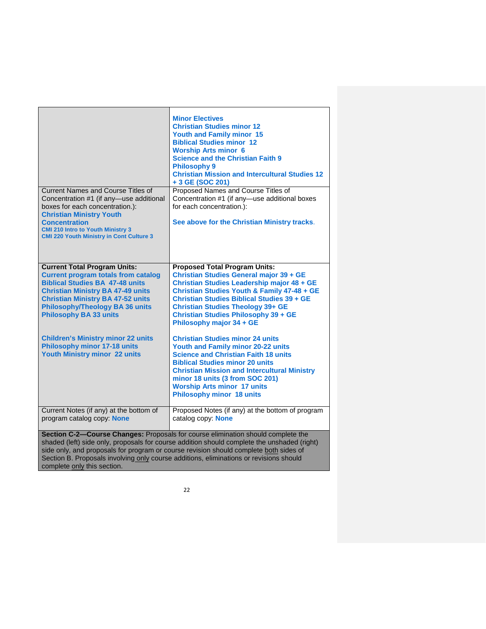|                                                                                                                                                                                                                                                                                                                                                                                                   | <b>Minor Electives</b><br><b>Christian Studies minor 12</b><br><b>Youth and Family minor 15</b><br><b>Biblical Studies minor 12</b><br><b>Worship Arts minor 6</b><br><b>Science and the Christian Faith 9</b><br><b>Philosophy 9</b><br><b>Christian Mission and Intercultural Studies 12</b><br>+3 GE (SOC 201)                                        |  |
|---------------------------------------------------------------------------------------------------------------------------------------------------------------------------------------------------------------------------------------------------------------------------------------------------------------------------------------------------------------------------------------------------|----------------------------------------------------------------------------------------------------------------------------------------------------------------------------------------------------------------------------------------------------------------------------------------------------------------------------------------------------------|--|
| Current Names and Course Titles of<br>Concentration #1 (if any-use additional<br>boxes for each concentration.):<br><b>Christian Ministry Youth</b><br><b>Concentration</b><br><b>CMI 210 Intro to Youth Ministry 3</b><br><b>CMI 220 Youth Ministry in Cont Culture 3</b>                                                                                                                        | Proposed Names and Course Titles of<br>Concentration #1 (if any-use additional boxes<br>for each concentration.):<br>See above for the Christian Ministry tracks.                                                                                                                                                                                        |  |
|                                                                                                                                                                                                                                                                                                                                                                                                   |                                                                                                                                                                                                                                                                                                                                                          |  |
| <b>Current Total Program Units:</b><br><b>Current program totals from catalog</b><br><b>Biblical Studies BA 47-48 units</b><br><b>Christian Ministry BA 47-49 units</b><br><b>Christian Ministry BA 47-52 units</b><br><b>Philosophy/Theology BA 36 units</b><br><b>Philosophy BA 33 units</b>                                                                                                    | <b>Proposed Total Program Units:</b><br>Christian Studies General major 39 + GE<br>Christian Studies Leadership major 48 + GE<br>Christian Studies Youth & Family 47-48 + GE<br><b>Christian Studies Biblical Studies 39 + GE</b><br><b>Christian Studies Theology 39+ GE</b><br><b>Christian Studies Philosophy 39 + GE</b><br>Philosophy major 34 + GE |  |
| <b>Children's Ministry minor 22 units</b><br><b>Philosophy minor 17-18 units</b><br><b>Youth Ministry minor 22 units</b>                                                                                                                                                                                                                                                                          | <b>Christian Studies minor 24 units</b><br>Youth and Family minor 20-22 units<br><b>Science and Christian Faith 18 units</b><br><b>Biblical Studies minor 20 units</b><br><b>Christian Mission and Intercultural Ministry</b><br>minor 18 units (3 from SOC 201)<br><b>Worship Arts minor 17 units</b><br><b>Philosophy minor 18 units</b>               |  |
| Current Notes (if any) at the bottom of<br>program catalog copy: None                                                                                                                                                                                                                                                                                                                             | Proposed Notes (if any) at the bottom of program<br>catalog copy: None                                                                                                                                                                                                                                                                                   |  |
| Section C-2-Course Changes: Proposals for course elimination should complete the<br>shaded (left) side only, proposals for course addition should complete the unshaded (right)<br>side only, and proposals for program or course revision should complete both sides of<br>Section B. Proposals involving only course additions, eliminations or revisions should<br>complete only this section. |                                                                                                                                                                                                                                                                                                                                                          |  |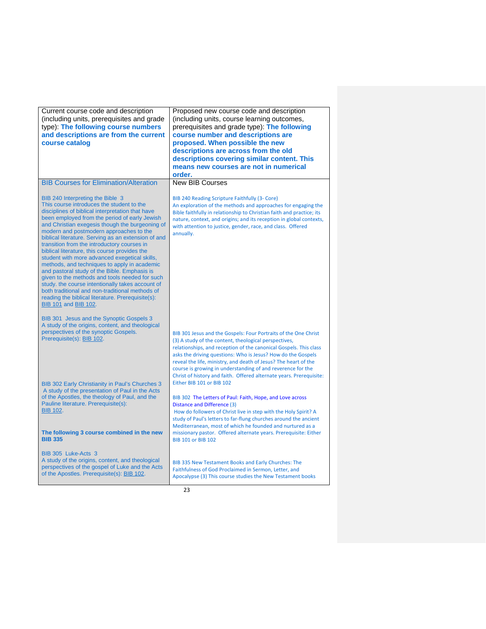| Current course code and description<br>(including units, prerequisites and grade                                                                                                                                                                                                                                                                                                                                                                                                                                                                                                                                                                                                                                                                                                                                                      | Proposed new course code and description<br>(including units, course learning outcomes,                                                                                                                                                                                                                                                                                                                                                                                                             |
|---------------------------------------------------------------------------------------------------------------------------------------------------------------------------------------------------------------------------------------------------------------------------------------------------------------------------------------------------------------------------------------------------------------------------------------------------------------------------------------------------------------------------------------------------------------------------------------------------------------------------------------------------------------------------------------------------------------------------------------------------------------------------------------------------------------------------------------|-----------------------------------------------------------------------------------------------------------------------------------------------------------------------------------------------------------------------------------------------------------------------------------------------------------------------------------------------------------------------------------------------------------------------------------------------------------------------------------------------------|
| type): The following course numbers                                                                                                                                                                                                                                                                                                                                                                                                                                                                                                                                                                                                                                                                                                                                                                                                   | prerequisites and grade type): The following                                                                                                                                                                                                                                                                                                                                                                                                                                                        |
| and descriptions are from the current                                                                                                                                                                                                                                                                                                                                                                                                                                                                                                                                                                                                                                                                                                                                                                                                 | course number and descriptions are                                                                                                                                                                                                                                                                                                                                                                                                                                                                  |
| course catalog                                                                                                                                                                                                                                                                                                                                                                                                                                                                                                                                                                                                                                                                                                                                                                                                                        | proposed. When possible the new                                                                                                                                                                                                                                                                                                                                                                                                                                                                     |
|                                                                                                                                                                                                                                                                                                                                                                                                                                                                                                                                                                                                                                                                                                                                                                                                                                       | descriptions are across from the old                                                                                                                                                                                                                                                                                                                                                                                                                                                                |
|                                                                                                                                                                                                                                                                                                                                                                                                                                                                                                                                                                                                                                                                                                                                                                                                                                       | descriptions covering similar content. This                                                                                                                                                                                                                                                                                                                                                                                                                                                         |
|                                                                                                                                                                                                                                                                                                                                                                                                                                                                                                                                                                                                                                                                                                                                                                                                                                       | means new courses are not in numerical                                                                                                                                                                                                                                                                                                                                                                                                                                                              |
|                                                                                                                                                                                                                                                                                                                                                                                                                                                                                                                                                                                                                                                                                                                                                                                                                                       | order.                                                                                                                                                                                                                                                                                                                                                                                                                                                                                              |
| <b>BIB Courses for Elimination/Alteration</b>                                                                                                                                                                                                                                                                                                                                                                                                                                                                                                                                                                                                                                                                                                                                                                                         | <b>New BIB Courses</b>                                                                                                                                                                                                                                                                                                                                                                                                                                                                              |
| BIB 240 Interpreting the Bible 3<br>This course introduces the student to the<br>disciplines of biblical interpretation that have<br>been employed from the period of early Jewish<br>and Christian exegesis though the burgeoning of<br>modern and postmodern approaches to the<br>biblical literature. Serving as an extension of and<br>transition from the introductory courses in<br>biblical literature, this course provides the<br>student with more advanced exegetical skills,<br>methods, and techniques to apply in academic<br>and pastoral study of the Bible. Emphasis is<br>given to the methods and tools needed for such<br>study. the course intentionally takes account of<br>both traditional and non-traditional methods of<br>reading the biblical literature. Prerequisite(s):<br><b>BIB 101 and BIB 102.</b> | BIB 240 Reading Scripture Faithfully (3- Core)<br>An exploration of the methods and approaches for engaging the<br>Bible faithfully in relationship to Christian faith and practice; its<br>nature, context, and origins; and its reception in global contexts,<br>with attention to justice, gender, race, and class. Offered<br>annually.                                                                                                                                                         |
| BIB 301 Jesus and the Synoptic Gospels 3<br>A study of the origins, content, and theological<br>perspectives of the synoptic Gospels.<br>Prerequisite(s): BIB 102.<br><b>BIB 302 Early Christianity in Paul's Churches 3</b>                                                                                                                                                                                                                                                                                                                                                                                                                                                                                                                                                                                                          | BIB 301 Jesus and the Gospels: Four Portraits of the One Christ<br>(3) A study of the content, theological perspectives,<br>relationships, and reception of the canonical Gospels. This class<br>asks the driving questions: Who is Jesus? How do the Gospels<br>reveal the life, ministry, and death of Jesus? The heart of the<br>course is growing in understanding of and reverence for the<br>Christ of history and faith. Offered alternate years. Prerequisite:<br>Either BIB 101 or BIB 102 |
| A study of the presentation of Paul in the Acts<br>of the Apostles, the theology of Paul, and the<br>Pauline literature. Prerequisite(s):<br><b>BIB 102.</b>                                                                                                                                                                                                                                                                                                                                                                                                                                                                                                                                                                                                                                                                          | BIB 302 The Letters of Paul: Faith, Hope, and Love across<br>Distance and Difference (3)<br>How do followers of Christ live in step with the Holy Spirit? A<br>study of Paul's letters to far-flung churches around the ancient<br>Mediterranean, most of which he founded and nurtured as a                                                                                                                                                                                                        |
| The following 3 course combined in the new<br><b>BIB 335</b>                                                                                                                                                                                                                                                                                                                                                                                                                                                                                                                                                                                                                                                                                                                                                                          | missionary pastor. Offered alternate years. Prerequisite: Either<br><b>BIB 101 or BIB 102</b>                                                                                                                                                                                                                                                                                                                                                                                                       |
| BIB 305 Luke-Acts 3<br>A study of the origins, content, and theological<br>perspectives of the gospel of Luke and the Acts<br>of the Apostles. Prerequisite(s): BIB 102.                                                                                                                                                                                                                                                                                                                                                                                                                                                                                                                                                                                                                                                              | BIB 335 New Testament Books and Early Churches: The<br>Faithfulness of God Proclaimed in Sermon, Letter, and<br>Apocalypse (3) This course studies the New Testament books                                                                                                                                                                                                                                                                                                                          |
|                                                                                                                                                                                                                                                                                                                                                                                                                                                                                                                                                                                                                                                                                                                                                                                                                                       | 23                                                                                                                                                                                                                                                                                                                                                                                                                                                                                                  |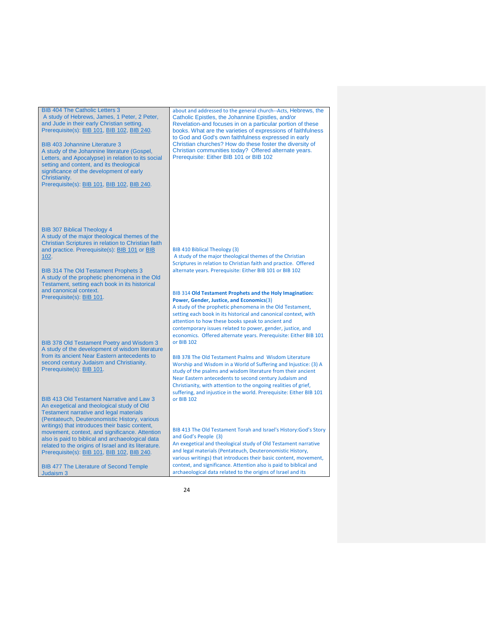| <b>BIB 404 The Catholic Letters 3</b><br>A study of Hebrews, James, 1 Peter, 2 Peter,<br>and Jude in their early Christian setting.<br>Prerequisite(s): BIB 101, BIB 102, BIB 240.<br><b>BIB 403 Johannine Literature 3</b><br>A study of the Johannine literature (Gospel,<br>Letters, and Apocalypse) in relation to its social<br>setting and content, and its theological<br>significance of the development of early<br>Christianity.<br>Prerequisite(s): <b>BIB 101</b> , <b>BIB 102</b> , <b>BIB 240</b> . | about and addressed to the general church--Acts, Hebrews, the<br>Catholic Epistles, the Johannine Epistles, and/or<br>Revelation-and focuses in on a particular portion of these<br>books. What are the varieties of expressions of faithfulness<br>to God and God's own faithfulness expressed in early<br>Christian churches? How do these foster the diversity of<br>Christian communities today? Offered alternate years.<br>Prerequisite: Either BIB 101 or BIB 102 |
|-------------------------------------------------------------------------------------------------------------------------------------------------------------------------------------------------------------------------------------------------------------------------------------------------------------------------------------------------------------------------------------------------------------------------------------------------------------------------------------------------------------------|--------------------------------------------------------------------------------------------------------------------------------------------------------------------------------------------------------------------------------------------------------------------------------------------------------------------------------------------------------------------------------------------------------------------------------------------------------------------------|
| <b>BIB 307 Biblical Theology 4</b><br>A study of the major theological themes of the<br>Christian Scriptures in relation to Christian faith<br>and practice. Prerequisite(s): BIB 101 or BIB<br>102.<br><b>BIB 314 The Old Testament Prophets 3</b><br>A study of the prophetic phenomena in the Old<br>Testament, setting each book in its historical                                                                                                                                                            | BIB 410 Biblical Theology (3)<br>A study of the major theological themes of the Christian<br>Scriptures in relation to Christian faith and practice. Offered<br>alternate years. Prerequisite: Either BIB 101 or BIB 102                                                                                                                                                                                                                                                 |
| and canonical context.<br>Prerequisite(s): BIB 101.                                                                                                                                                                                                                                                                                                                                                                                                                                                               | BIB 314 Old Testament Prophets and the Holy Imagination:<br>Power, Gender, Justice, and Economics(3)<br>A study of the prophetic phenomena in the Old Testament,<br>setting each book in its historical and canonical context, with<br>attention to how these books speak to ancient and<br>contemporary issues related to power, gender, justice, and<br>economics. Offered alternate years. Prerequisite: Either BIB 101                                               |
| <b>BIB 378 Old Testament Poetry and Wisdom 3</b><br>A study of the development of wisdom literature                                                                                                                                                                                                                                                                                                                                                                                                               | or BIB 102                                                                                                                                                                                                                                                                                                                                                                                                                                                               |
| from its ancient Near Eastern antecedents to<br>second century Judaism and Christianity.<br>Prerequisite(s): <b>BIB 101</b> .                                                                                                                                                                                                                                                                                                                                                                                     | BIB 378 The Old Testament Psalms and Wisdom Literature<br>Worship and Wisdom in a World of Suffering and Injustice: (3) A<br>study of the psalms and wisdom literature from their ancient<br>Near Eastern antecedents to second century Judaism and<br>Christianity, with attention to the ongoing realities of grief,<br>suffering, and injustice in the world. Prerequisite: Either BIB 101                                                                            |
| <b>BIB 413 Old Testament Narrative and Law 3</b><br>An exegetical and theological study of Old<br><b>Testament narrative and legal materials</b><br>(Pentateuch, Deuteronomistic History, various                                                                                                                                                                                                                                                                                                                 | or BIB 102                                                                                                                                                                                                                                                                                                                                                                                                                                                               |
| writings) that introduces their basic content,<br>movement, context, and significance. Attention                                                                                                                                                                                                                                                                                                                                                                                                                  | BIB 413 The Old Testament Torah and Israel's History: God's Story<br>and God's People (3)                                                                                                                                                                                                                                                                                                                                                                                |
| also is paid to biblical and archaeological data<br>related to the origins of Israel and its literature.                                                                                                                                                                                                                                                                                                                                                                                                          | An exegetical and theological study of Old Testament narrative                                                                                                                                                                                                                                                                                                                                                                                                           |
| Prerequisite(s): <b>BIB 101, BIB 102, BIB 240.</b>                                                                                                                                                                                                                                                                                                                                                                                                                                                                | and legal materials (Pentateuch, Deuteronomistic History,<br>various writings) that introduces their basic content, movement,                                                                                                                                                                                                                                                                                                                                            |
| <b>BIB 477 The Literature of Second Temple</b><br>Judaism 3                                                                                                                                                                                                                                                                                                                                                                                                                                                       | context, and significance. Attention also is paid to biblical and<br>archaeological data related to the origins of Israel and its                                                                                                                                                                                                                                                                                                                                        |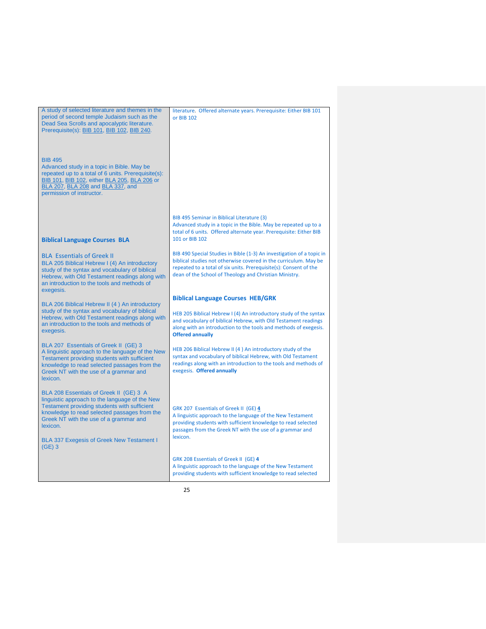| A study of selected literature and themes in the<br>period of second temple Judaism such as the<br>Dead Sea Scrolls and apocalyptic literature.<br>Prerequisite(s): BIB 101, BIB 102, BIB 240.                                                                                                                  | literature. Offered alternate years. Prerequisite: Either BIB 101<br>or BIB 102                                                                                                                                                                                          |  |
|-----------------------------------------------------------------------------------------------------------------------------------------------------------------------------------------------------------------------------------------------------------------------------------------------------------------|--------------------------------------------------------------------------------------------------------------------------------------------------------------------------------------------------------------------------------------------------------------------------|--|
| <b>BIB 495</b><br>Advanced study in a topic in Bible. May be<br>repeated up to a total of 6 units. Prerequisite(s):<br>BIB 101, BIB 102, either BLA 205, BLA 206 or<br>BLA 207, BLA 208 and BLA 337, and<br>permission of instructor.                                                                           |                                                                                                                                                                                                                                                                          |  |
| <b>Biblical Language Courses BLA</b>                                                                                                                                                                                                                                                                            | BIB 495 Seminar in Biblical Literature (3)<br>Advanced study in a topic in the Bible. May be repeated up to a<br>total of 6 units. Offered alternate year. Prerequisite: Either BIB<br>101 or BIB 102                                                                    |  |
| <b>BLA Essentials of Greek II</b><br>BLA 205 Biblical Hebrew I (4) An introductory<br>study of the syntax and vocabulary of biblical<br>Hebrew, with Old Testament readings along with<br>an introduction to the tools and methods of<br>exegesis.                                                              | BIB 490 Special Studies in Bible (1-3) An investigation of a topic in<br>biblical studies not otherwise covered in the curriculum. May be<br>repeated to a total of six units. Prerequisite(s): Consent of the<br>dean of the School of Theology and Christian Ministry. |  |
| BLA 206 Biblical Hebrew II (4) An introductory                                                                                                                                                                                                                                                                  | <b>Biblical Language Courses HEB/GRK</b>                                                                                                                                                                                                                                 |  |
| study of the syntax and vocabulary of biblical<br>Hebrew, with Old Testament readings along with<br>an introduction to the tools and methods of<br>exegesis.                                                                                                                                                    | HEB 205 Biblical Hebrew I (4) An introductory study of the syntax<br>and vocabulary of biblical Hebrew, with Old Testament readings<br>along with an introduction to the tools and methods of exegesis.<br><b>Offered annually</b>                                       |  |
| BLA 207 Essentials of Greek II (GE) 3<br>A linguistic approach to the language of the New<br>Testament providing students with sufficient<br>knowledge to read selected passages from the<br>Greek NT with the use of a grammar and<br>lexicon.                                                                 | HEB 206 Biblical Hebrew II (4) An introductory study of the<br>syntax and vocabulary of biblical Hebrew, with Old Testament<br>readings along with an introduction to the tools and methods of<br>exegesis. Offered annually                                             |  |
| BLA 208 Essentials of Greek II (GE) 3 A<br>linguistic approach to the language of the New<br>Testament providing students with sufficient<br>knowledge to read selected passages from the<br>Greek NT with the use of a grammar and<br>lexicon.<br><b>BLA 337 Exegesis of Greek New Testament I</b><br>$(GE)$ 3 | GRK 207 Essentials of Greek II (GE) 4<br>A linguistic approach to the language of the New Testament<br>providing students with sufficient knowledge to read selected<br>passages from the Greek NT with the use of a grammar and<br>lexicon.                             |  |
|                                                                                                                                                                                                                                                                                                                 | GRK 208 Essentials of Greek II (GE) 4<br>A linguistic approach to the language of the New Testament<br>providing students with sufficient knowledge to read selected                                                                                                     |  |
| 25                                                                                                                                                                                                                                                                                                              |                                                                                                                                                                                                                                                                          |  |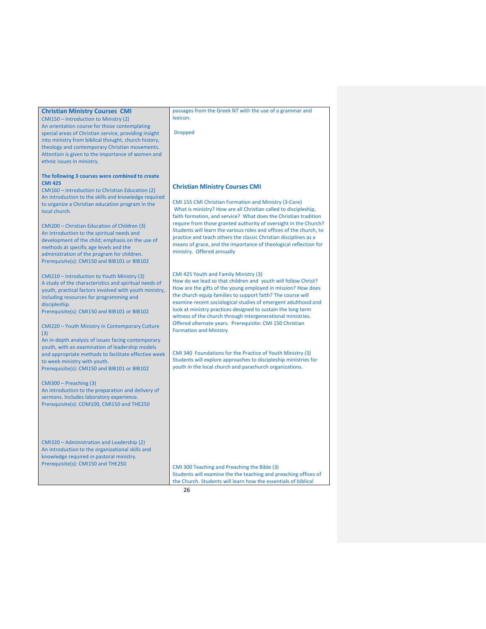| <b>Christian Ministry Courses CMI</b>                                                               | passages from the Greek NT with the use of a grammar and                                                                           |  |
|-----------------------------------------------------------------------------------------------------|------------------------------------------------------------------------------------------------------------------------------------|--|
| CMI150 - Introduction to Ministry (2)                                                               | lexicon.                                                                                                                           |  |
| An orientation course for those contemplating                                                       |                                                                                                                                    |  |
| special areas of Christian service, providing insight                                               | <b>Dropped</b>                                                                                                                     |  |
| into ministry from biblical thought, church history,                                                |                                                                                                                                    |  |
| theology and contemporary Christian movements.<br>Attention is given to the importance of women and |                                                                                                                                    |  |
| ethnic issues in ministry.                                                                          |                                                                                                                                    |  |
|                                                                                                     |                                                                                                                                    |  |
| The following 3 courses were combined to create                                                     |                                                                                                                                    |  |
| <b>CMI 425</b>                                                                                      |                                                                                                                                    |  |
| CMI160 - Introduction to Christian Education (2)                                                    | <b>Christian Ministry Courses CMI</b>                                                                                              |  |
| An introduction to the skills and knowledge required                                                |                                                                                                                                    |  |
| to organize a Christian education program in the                                                    | CMI 155 CMI Christian Formation and Ministry (3-Core)                                                                              |  |
| local church.                                                                                       | What is ministry? How are all Christian called to discipleship,<br>faith formation, and service? What does the Christian tradition |  |
|                                                                                                     | require from those granted authority of oversight in the Church?                                                                   |  |
| CMI200 - Christian Education of Children (3)                                                        | Students will learn the various roles and offices of the church, to                                                                |  |
| An introduction to the spiritual needs and                                                          | practice and teach others the classic Christian disciplines as a                                                                   |  |
| development of the child; emphasis on the use of<br>methods at specific age levels and the          | means of grace, and the importance of theological reflection for                                                                   |  |
| administration of the program for children.                                                         | ministry. Offered annually                                                                                                         |  |
| Prerequisite(s): CMI150 and BIB101 or BIB102                                                        |                                                                                                                                    |  |
|                                                                                                     |                                                                                                                                    |  |
| CMI210 - Introduction to Youth Ministry (3)                                                         | CMI 425 Youth and Family Ministry (3)                                                                                              |  |
| A study of the characteristics and spiritual needs of                                               | How do we lead so that children and youth will follow Christ?                                                                      |  |
| youth, practical factors involved with youth ministry,                                              | How are the gifts of the young employed in mission? How does                                                                       |  |
| including resources for programming and                                                             | the church equip families to support faith? The course will<br>examine recent sociological studies of emergent adulthood and       |  |
| discipleship.                                                                                       | look at ministry practices designed to sustain the long term                                                                       |  |
| Prerequisite(s): CMI150 and BIB101 or BIB102                                                        | witness of the church through intergenerational ministries.                                                                        |  |
|                                                                                                     | Offered alternate years. Prerequisite: CMI 150 Christian                                                                           |  |
| CMI220 - Youth Ministry in Contemporary Culture<br>(3)                                              | <b>Formation and Ministry</b>                                                                                                      |  |
| An in-depth analysis of issues facing contemporary                                                  |                                                                                                                                    |  |
| youth, with an examination of leadership models                                                     |                                                                                                                                    |  |
| and appropriate methods to facilitate effective week                                                | CMI 340 Foundations for the Practice of Youth Ministry (3)                                                                         |  |
| to week ministry with youth.                                                                        | Students will explore approaches to discipleship ministries for                                                                    |  |
| Prerequisite(s): CMI150 and BIB101 or BIB102                                                        | youth in the local church and parachurch organizations.                                                                            |  |
|                                                                                                     |                                                                                                                                    |  |
| CMI300 - Preaching (3)                                                                              |                                                                                                                                    |  |
| An introduction to the preparation and delivery of                                                  |                                                                                                                                    |  |
| sermons. Includes laboratory experience.                                                            |                                                                                                                                    |  |
| Prerequisite(s): COM100, CMI150 and THE250                                                          |                                                                                                                                    |  |
|                                                                                                     |                                                                                                                                    |  |
|                                                                                                     |                                                                                                                                    |  |
|                                                                                                     |                                                                                                                                    |  |
| CMI320 - Administration and Leadership (2)                                                          |                                                                                                                                    |  |
| An introduction to the organizational skills and                                                    |                                                                                                                                    |  |
| knowledge required in pastoral ministry.                                                            |                                                                                                                                    |  |
| Prerequisite(s): CMI150 and THE250                                                                  | CMI 300 Teaching and Preaching the Bible (3)                                                                                       |  |
|                                                                                                     | Students will examine the the teaching and preaching offices of                                                                    |  |
|                                                                                                     | the Church. Students will learn how the essentials of biblical                                                                     |  |
|                                                                                                     |                                                                                                                                    |  |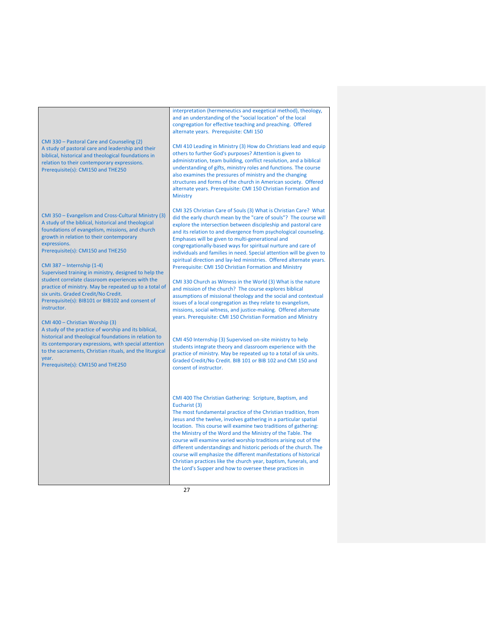CMI 330 – Pastoral Care and Counseling (2) A study of pastoral care and leadership and their biblical, historical and theological foundations in relation to their contemporary expressions. Prerequisite(s): CMI150 and THE250 CMI 350 – Evangelism and Cross-Cultural Ministry (3) A study of the biblical, historical and theological foundations of evangelism, missions, and church growth in relation to their contemporary expressions. Prerequisite(s): CMI150 and THE250 CMI 387 – Internship (1-4) Supervised training in ministry, designed to help the student correlate classroom experiences with the practice of ministry. May be repeated up to a total of six units. Graded Credit/No Credit. Prerequisite(s): BIB101 or BIB102 and consent of instructor. CMI 400 – Christian Worship (3) A study of the practice of worship and its biblical, historical and theological foundations in relation to its contemporary expressions, with special attention to the sacraments, Christian rituals, and the liturgical year. Prerequisite(s): CMI150 and THE250 and an understanding of the "social location" of the local congregation for effective teaching and preaching. Offered alternate years. Prerequisite: CMI 150 CMI 410 Leading in Ministry (3) How do Christians lead and equip others to further God's purposes? Attention is given to administration, team building, conflict resolution, and a biblical understanding of gifts, ministry roles and functions. The course also examines the pressures of ministry and the changing structures and forms of the church in American society. Offered alternate years. Prerequisite: CMI 150 Christian Formation and **Ministry** CMI 325 Christian Care of Souls (3) What is Christian Care? What did the early church mean by the "care of souls"? The course will explore the intersection between discipleship and pastoral care and its relation to and divergence from psychological counseling. Emphases will be given to multi-generational and congregationally-based ways for spiritual nurture and care of individuals and families in need. Special attention will be given to spiritual direction and lay-led ministries. Offered alternate years. Prerequisite: CMI 150 Christian Formation and Ministry CMI 330 Church as Witness in the World (3) What is the nature and mission of the church? The course explores biblical assumptions of missional theology and the social and contextual issues of a local congregation as they relate to evangelism, missions, social witness, and justice-making. Offered alternate years. Prerequisite: CMI 150 Christian Formation and Ministry CMI 450 Internship (3) Supervised on-site ministry to help students integrate theory and classroom experience with the practice of ministry. May be repeated up to a total of six units. Graded Credit/No Credit. BIB 101 or BIB 102 and CMI 150 and consent of instructor. CMI 400 The Christian Gathering: Scripture, Baptism, and Eucharist (3) The most fundamental practice of the Christian tradition, from Jesus and the twelve, involves gathering in a particular spatial location. This course will examine two traditions of gathering: the Ministry of the Word and the Ministry of the Table. The course will examine varied worship traditions arising out of the different understandings and historic periods of the church. The course will emphasize the different manifestations of historical Christian practices like the church year, baptism, funerals, and the Lord's Supper and how to oversee these practices in

interpretation (hermeneutics and exegetical method), theology,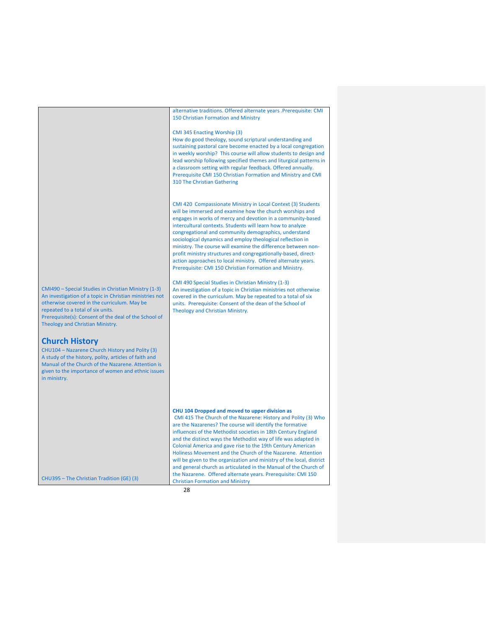| CMI490 - Special Studies in Christian Ministry (1-3)<br>An investigation of a topic in Christian ministries not<br>otherwise covered in the curriculum. May be<br>repeated to a total of six units.<br>Prerequisite(s): Consent of the deal of the School of<br>Theology and Christian Ministry.<br><b>Church History</b><br>CHU104 - Nazarene Church History and Polity (3)<br>A study of the history, polity, articles of faith and<br>Manual of the Church of the Nazarene. Attention is<br>given to the importance of women and ethnic issues<br>in ministry. | alternative traditions. Offered alternate years .Prerequisite: CMI<br>150 Christian Formation and Ministry<br>CMI 345 Enacting Worship (3)<br>How do good theology, sound scriptural understanding and<br>sustaining pastoral care become enacted by a local congregation<br>in weekly worship? This course will allow students to design and<br>lead worship following specified themes and liturgical patterns in<br>a classroom setting with regular feedback. Offered annually.<br>Prerequisite CMI 150 Christian Formation and Ministry and CMI<br>310 The Christian Gathering<br>CMI 420 Compassionate Ministry in Local Context (3) Students<br>will be immersed and examine how the church worships and<br>engages in works of mercy and devotion in a community-based<br>intercultural contexts. Students will learn how to analyze<br>congregational and community demographics, understand<br>sociological dynamics and employ theological reflection in<br>ministry. The course will examine the difference between non-<br>profit ministry structures and congregationally-based, direct-<br>action approaches to local ministry. Offered alternate years.<br>Prerequisite: CMI 150 Christian Formation and Ministry.<br>CMI 490 Special Studies in Christian Ministry (1-3)<br>An investigation of a topic in Christian ministries not otherwise<br>covered in the curriculum. May be repeated to a total of six<br>units. Prerequisite: Consent of the dean of the School of<br>Theology and Christian Ministry. |  |
|-------------------------------------------------------------------------------------------------------------------------------------------------------------------------------------------------------------------------------------------------------------------------------------------------------------------------------------------------------------------------------------------------------------------------------------------------------------------------------------------------------------------------------------------------------------------|---------------------------------------------------------------------------------------------------------------------------------------------------------------------------------------------------------------------------------------------------------------------------------------------------------------------------------------------------------------------------------------------------------------------------------------------------------------------------------------------------------------------------------------------------------------------------------------------------------------------------------------------------------------------------------------------------------------------------------------------------------------------------------------------------------------------------------------------------------------------------------------------------------------------------------------------------------------------------------------------------------------------------------------------------------------------------------------------------------------------------------------------------------------------------------------------------------------------------------------------------------------------------------------------------------------------------------------------------------------------------------------------------------------------------------------------------------------------------------------------------------------------------------|--|
| CHU395 - The Christian Tradition (GE) (3)                                                                                                                                                                                                                                                                                                                                                                                                                                                                                                                         | CHU 104 Dropped and moved to upper division as<br>CMI 415 The Church of the Nazarene: History and Polity (3) Who<br>are the Nazarenes? The course will identify the formative<br>influences of the Methodist societies in 18th Century England<br>and the distinct ways the Methodist way of life was adapted in<br>Colonial America and gave rise to the 19th Century American<br>Holiness Movement and the Church of the Nazarene. Attention<br>will be given to the organization and ministry of the local, district<br>and general church as articulated in the Manual of the Church of<br>the Nazarene. Offered alternate years. Prerequisite: CMI 150<br><b>Christian Formation and Ministry</b>                                                                                                                                                                                                                                                                                                                                                                                                                                                                                                                                                                                                                                                                                                                                                                                                                          |  |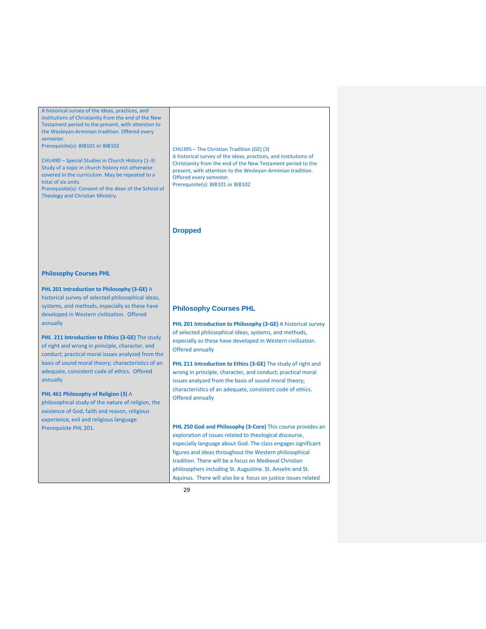A historical survey of the ideas, practices, and institutions of Christianity from the end of the New Testament period to the present, with attention to the Wesleyan-Arminian tradition. Offered every semester.

Prerequisite(s): BIB101 or BIB102

CHU490 – Special Studies in Church History (1-3) Study of a topic in church history not otherwise covered in the curriculum. May be repeated to a total of six units.

Prerequisite(s): Consent of the dean of the School of Theology and Christian Ministry.

CHU395 – The Christian Tradition (GE) (3) A historical survey of the ideas, practices, and institutions of Christianity from the end of the New Testament period to the present, with attention to the Wesleyan-Arminian tradition. Offered every semester. Prerequisite(s): BIB101 or BIB102

**Dropped** 

### **Philosophy Courses PHL**

**PHL 201 Introduction to Philosophy (3-GE)** A historical survey of selected philosophical ideas, systems, and methods, especially as these have developed in Western civilization. Offered annually

**PHL 211 Introduction to Ethics (3-GE)** The study of right and wrong in principle, character, and conduct; practical moral issues analyzed from the basis of sound moral theory; characteristics of an adequate, consistent code of ethics. Offered annually

**PHL 461 Philosophy of Religion (3)** A philosophical study of the nature of religion, the existence of God, faith and reason, religious experience, evil and religious language. Prerequisite PHL 201.

#### **Philosophy Courses PHL**

**PHL 201 Introduction to Philosophy (3-GE)** A historical survey of selected philosophical ideas, systems, and methods, especially as these have developed in Western civilization. Offered annually

**PHL 211 Introduction to Ethics (3-GE)** The study of right and wrong in principle, character, and conduct; practical moral issues analyzed from the basis of sound moral theory; characteristics of an adequate, consistent code of ethics. Offered annually

**PHL 250 God and Philosophy (3-Core)** This course provides an exploration of issues related to theological discourse, especially language about God. The class engages significant figures and ideas throughout the Western philosophical tradition. There will be a focus on Medieval Christian philosophers including St. Augustine. St. Anselm and St. Aquinas. There will also be a focus on justice issues related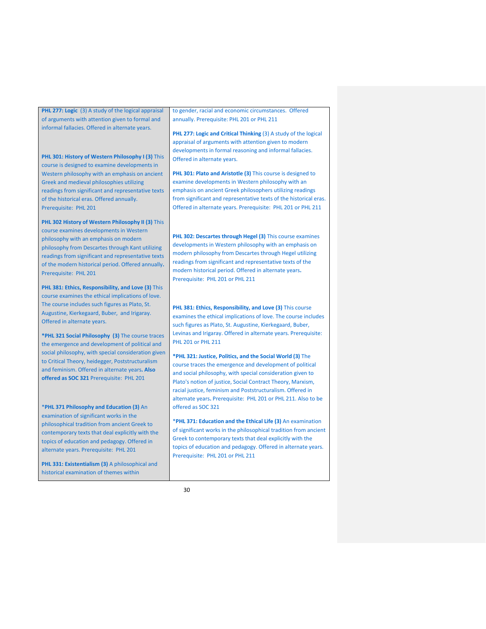**PHL 277: Logic** (3) A study of the logical appraisal of arguments with attention given to formal and informal fallacies. Offered in alternate years.

**PHL 301: History of Western Philosophy I (3)** This course is designed to examine developments in Western philosophy with an emphasis on ancient Greek and medieval philosophies utilizing readings from significant and representative texts of the historical eras. Offered annually. Prerequisite: PHL 201

**PHL 302 History of Western Philosophy II (3)** This course examines developments in Western philosophy with an emphasis on modern philosophy from Descartes through Kant utilizing readings from significant and representative texts of the modern historical period. Offered annually**.**  Prerequisite: PHL 201

**PHL 381: Ethics, Responsibility, and Love (3)** This course examines the ethical implications of love. The course includes such figures as Plato, St. Augustine, Kierkegaard, Buber, and Irigaray. Offered in alternate years.

**\*PHL 321 Social Philosophy (3)** The course traces the emergence and development of political and social philosophy, with special consideration given to Critical Theory, heidegger, Poststructuralism and feminism. Offered in alternate years**. Also offered as SOC 321** Prerequisite: PHL 201

\***PHL 371 Philosophy and Education (3)** An examination of significant works in the philosophical tradition from ancient Greek to contemporary texts that deal explicitly with the topics of education and pedagogy. Offered in alternate years. Prerequisite: PHL 201

**PHL 331: Existentialism (3)** A philosophical and historical examination of themes within

to gender, racial and economic circumstances. Offered annually. Prerequisite: PHL 201 or PHL 211

**PHL 277: Logic and Critical Thinking** (3) A study of the logical appraisal of arguments with attention given to modern developments in formal reasoning and informal fallacies. Offered in alternate years.

**PHL 301: Plato and Aristotle (3)** This course is designed to examine developments in Western philosophy with an emphasis on ancient Greek philosophers utilizing readings from significant and representative texts of the historical eras. Offered in alternate years. Prerequisite: PHL 201 or PHL 211

**PHL 302: Descartes through Hegel (3)** This course examines developments in Western philosophy with an emphasis on modern philosophy from Descartes through Hegel utilizing readings from significant and representative texts of the modern historical period. Offered in alternate years**.**  Prerequisite: PHL 201 or PHL 211

**PHL 381: Ethics, Responsibility, and Love (3)** This course examines the ethical implications of love. The course includes such figures as Plato, St. Augustine, Kierkegaard, Buber, Levinas and Irigaray. Offered in alternate years. Prerequisite: PHL 201 or PHL 211

**\*PHL 321: Justice, Politics, and the Social World (3)** The course traces the emergence and development of political and social philosophy, with special consideration given to Plato's notion of justice, Social Contract Theory, Marxism, racial justice, feminism and Poststructuralism. Offered in alternate years**.** Prerequisite: PHL 201 or PHL 211. Also to be offered as SOC 321

\***PHL 371: Education and the Ethical Life (3)** An examination of significant works in the philosophical tradition from ancient Greek to contemporary texts that deal explicitly with the topics of education and pedagogy. Offered in alternate years. Prerequisite: PHL 201 or PHL 211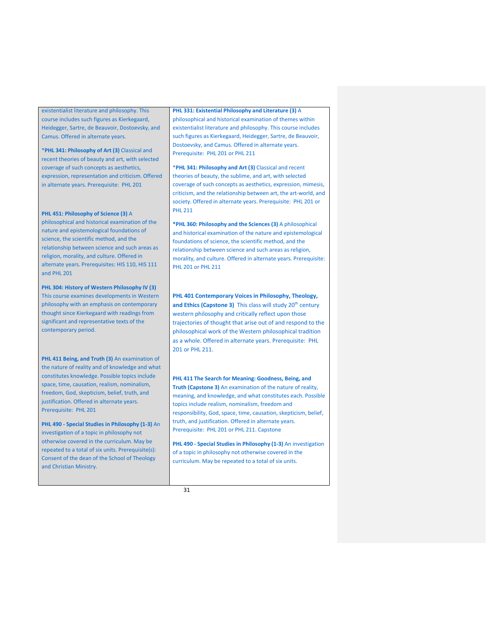existentialist literature and philosophy. This course includes such figures as Kierkegaard, Heidegger, Sartre, de Beauvoir, Dostoevsky, and Camus. Offered in alternate years.

\***PHL 341: Philosophy of Art (3)** Classical and recent theories of beauty and art, with selected coverage of such concepts as aesthetics, expression, representation and criticism. Offered in alternate years. Prerequisite: PHL 201

**PHL 451: Philosophy of Science (3)** A

philosophical and historical examination of the nature and epistemological foundations of science, the scientific method, and the relationship between science and such areas as religion, morality, and culture. Offered in alternate years. Prerequisites: HIS 110, HIS 111 and PHL 201

**PHL 304: History of Western Philosophy IV (3)**  This course examines developments in Western philosophy with an emphasis on contemporary thought since Kierkegaard with readings from significant and representative texts of the contemporary period.

**PHL 411 Being, and Truth (3)** An examination of the nature of reality and of knowledge and what constitutes knowledge. Possible topics include space, time, causation, realism, nominalism, freedom, God, skepticism, belief, truth, and justification. Offered in alternate years. Prerequisite: PHL 201

**PHL 490 - Special Studies in Philosophy (1-3)** An investigation of a topic in philosophy not otherwise covered in the curriculum. May be repeated to a total of six units. Prerequisite(s): Consent of the dean of the School of Theology and Christian Ministry.

**PHL 331: Existential Philosophy and Literature (3)** A philosophical and historical examination of themes within existentialist literature and philosophy. This course includes such figures as Kierkegaard, Heidegger, Sartre, de Beauvoir, Dostoevsky, and Camus. Offered in alternate years. Prerequisite: PHL 201 or PHL 211

\***PHL 341: Philosophy and Art (3)** Classical and recent theories of beauty, the sublime, and art, with selected coverage of such concepts as aesthetics, expression, mimesis, criticism, and the relationship between art, the art-world, and society. Offered in alternate years. Prerequisite: PHL 201 or PHL 211

**\*PHL 360: Philosophy and the Sciences (3)** A philosophical and historical examination of the nature and epistemological foundations of science, the scientific method, and the relationship between science and such areas as religion, morality, and culture. Offered in alternate years. Prerequisite: PHL 201 or PHL 211

**PHL 401 Contemporary Voices in Philosophy, Theology,**  and Ethics (Capstone 3) This class will study 20<sup>th</sup> century western philosophy and critically reflect upon those trajectories of thought that arise out of and respond to the philosophical work of the Western philosophical tradition as a whole. Offered in alternate years. Prerequisite: PHL 201 or PHL 211.

**PHL 411 The Search for Meaning: Goodness, Being, and Truth (Capstone 3)** An examination of the nature of reality, meaning, and knowledge, and what constitutes each. Possible topics include realism, nominalism, freedom and responsibility, God, space, time, causation, skepticism, belief, truth, and justification. Offered in alternate years. Prerequisite: PHL 201 or PHL 211. Capstone

**PHL 490 - Special Studies in Philosophy (1-3)** An investigation of a topic in philosophy not otherwise covered in the curriculum. May be repeated to a total of six units.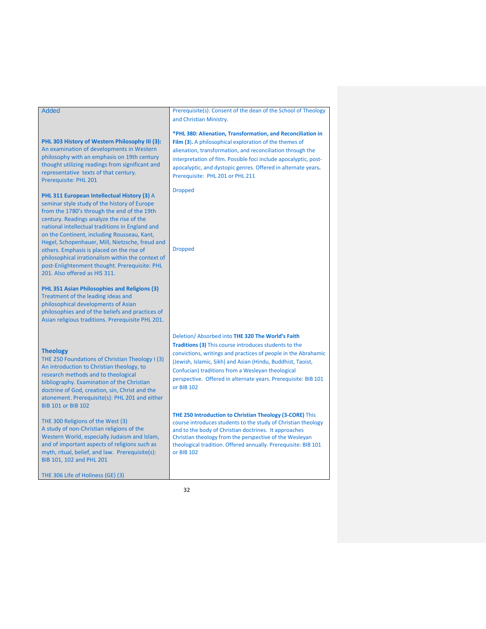| <b>Added</b>                                                                                                                                                                                                                                                                                                                                                                                                                                                                                                                     | Prerequisite(s): Consent of the dean of the School of Theology<br>and Christian Ministry.                                                                                                                                                                                                                                                                                       |
|----------------------------------------------------------------------------------------------------------------------------------------------------------------------------------------------------------------------------------------------------------------------------------------------------------------------------------------------------------------------------------------------------------------------------------------------------------------------------------------------------------------------------------|---------------------------------------------------------------------------------------------------------------------------------------------------------------------------------------------------------------------------------------------------------------------------------------------------------------------------------------------------------------------------------|
| PHL 303 History of Western Philosophy III (3):<br>An examination of developments in Western<br>philosophy with an emphasis on 19th century<br>thought utilizing readings from significant and<br>representative texts of that century.<br>Prerequisite: PHL 201                                                                                                                                                                                                                                                                  | *PHL 380: Alienation, Transformation, and Reconciliation in<br>Film (3). A philosophical exploration of the themes of<br>alienation, transformation, and reconciliation through the<br>interpretation of film. Possible foci include apocalyptic, post-<br>apocalyptic, and dystopic genres. Offered in alternate years.<br>Prerequisite: PHL 201 or PHL 211                    |
| PHL 311 European Intellectual History (3) A<br>seminar style study of the history of Europe<br>from the 1780's through the end of the 19th<br>century. Readings analyze the rise of the<br>national intellectual traditions in England and<br>on the Continent, including Rousseau, Kant,<br>Hegel, Schopenhauer, Mill, Nietzsche, freud and<br>others. Emphasis is placed on the rise of<br>philosophical irrationalism within the context of<br>post-Enlightenment thought. Prerequisite: PHL<br>201. Also offered as HIS 311. | <b>Dropped</b><br><b>Dropped</b>                                                                                                                                                                                                                                                                                                                                                |
| <b>PHL 351 Asian Philosophies and Religions (3)</b><br>Treatment of the leading ideas and<br>philosophical developments of Asian<br>philosophies and of the beliefs and practices of<br>Asian religious traditions. Prerequisite PHL 201.                                                                                                                                                                                                                                                                                        |                                                                                                                                                                                                                                                                                                                                                                                 |
| <b>Theology</b><br>THE 250 Foundations of Christian Theology I (3)<br>An introduction to Christian theology, to<br>research methods and to theological<br>bibliography. Examination of the Christian<br>doctrine of God, creation, sin, Christ and the<br>atonement. Prerequisite(s): PHL 201 and either<br><b>BIB 101 or BIB 102</b>                                                                                                                                                                                            | Deletion/Absorbed into THE 320 The World's Faith<br>Traditions (3) This course introduces students to the<br>convictions, writings and practices of people in the Abrahamic<br>(Jewish, Islamic, Sikh) and Asian (Hindu, Buddhist, Taoist,<br>Confucian) traditions from a Wesleyan theological<br>perspective. Offered in alternate years. Prerequisite: BIB 101<br>or BIB 102 |
| THE 300 Religions of the West (3)<br>A study of non-Christian religions of the<br>Western World, especially Judaism and Islam,<br>and of important aspects of religions such as<br>myth, ritual, belief, and law. Prerequisite(s):<br>BIB 101, 102 and PHL 201                                                                                                                                                                                                                                                                   | THE 250 Introduction to Christian Theology (3-CORE) This<br>course introduces students to the study of Christian theology<br>and to the body of Christian doctrines. It approaches<br>Christian theology from the perspective of the Wesleyan<br>theological tradition. Offered annually. Prerequisite: BIB 101<br>or BIB 102                                                   |
| THE 306 Life of Holiness (GE) (3)                                                                                                                                                                                                                                                                                                                                                                                                                                                                                                |                                                                                                                                                                                                                                                                                                                                                                                 |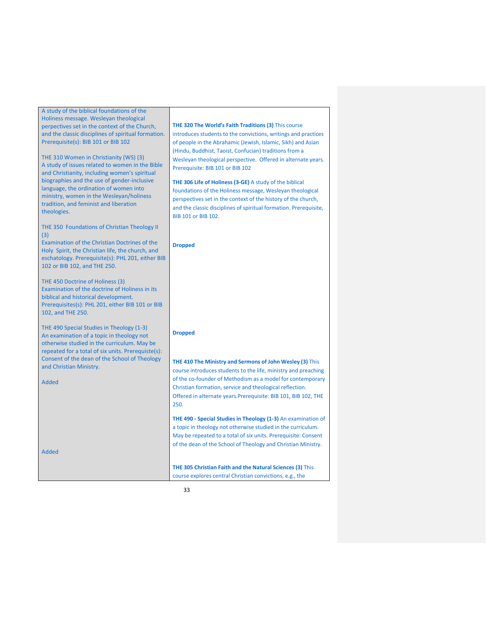A study of the biblical foundations of the Holiness message. Wesleyan theological perpectives set in the context of the Church, and the classic disciplines of spiritual formation. Prerequisite(s): BIB 101 or BIB 102

THE 310 Women in Christianity (WS) (3) A study of issues related to women in the Bible and Christianity, including women's spiritual biographies and the use of gender-inclusive language, the ordination of women into ministry, women in the Wesleyan/holiness tradition, and feminist and liberation theologies.

THE 350 Foundations of Christian Theology II (3)

Examination of the Christian Doctrines of the Holy Spirit, the Christian life, the church, and eschatology. Prerequisite(s): PHL 201, either BIB 102 or BIB 102, and THE 250.

THE 450 Doctrine of Holiness (3) Examination of the doctrine of Holiness in its biblical and historical development. Prerequisites(s): PHL 201, either BIB 101 or BIB 102, and THE 250.

THE 490 Special Studies in Theology (1-3) An examination of a topic in theology not otherwise studied in the curriculum. May be repeated for a total of six units. Prerequiste(s): Consent of the dean of the School of Theology and Christian Ministry.

| <b>Added</b> |  |  |  |
|--------------|--|--|--|
|              |  |  |  |
|              |  |  |  |
|              |  |  |  |
|              |  |  |  |

Added

**THE 320 The World's Faith Traditions (3)** This course introduces students to the convictions, writings and practices of people in the Abrahamic (Jewish, Islamic, Sikh) and Asian (Hindu, Buddhist, Taoist, Confucian) traditions from a Wesleyan theological perspective. Offered in alternate years. Prerequisite: BIB 101 or BIB 102

**THE 306 Life of Holiness (3-GE)** A study of the biblical foundations of the Holiness message, Wesleyan theological perspectives set in the context of the history of the church, and the classic disciplines of spiritual formation. Prerequisite, BIB 101 or BIB 102.

**Dropped** 

**Dropped**

**THE 410 The Ministry and Sermons of John Wesley (3)** This course introduces students to the life, ministry and preaching of the co-founder of Methodism as a model for contemporary Christian formation, service and theological reflection. Offered in alternate years.Prerequisite: BIB 101, BIB 102, THE 250.

**THE 490 - Special Studies in Theology (1-3)** An examination of a topic in theology not otherwise studied in the curriculum. May be repeated to a total of six units. Prerequisite: Consent of the dean of the School of Theology and Christian Ministry.

**THE 305 Christian Faith and the Natural Sciences (3)** This course explores central Christian convictions, e.g., the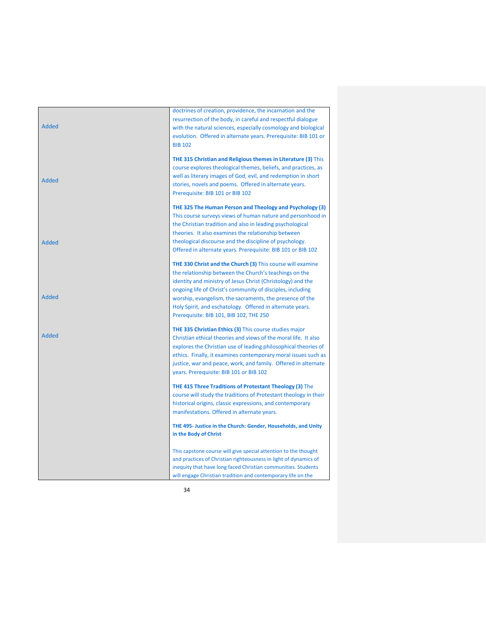| Added        | doctrines of creation, providence, the incarnation and the<br>resurrection of the body, in careful and respectful dialogue<br>with the natural sciences, especially cosmology and biological<br>evolution. Offered in alternate years. Prerequisite: BIB 101 or<br><b>BIB 102</b>                                                                                                                                     |
|--------------|-----------------------------------------------------------------------------------------------------------------------------------------------------------------------------------------------------------------------------------------------------------------------------------------------------------------------------------------------------------------------------------------------------------------------|
| Added        | THE 315 Christian and Religious themes in Literature (3) This<br>course explores theological themes, beliefs, and practices, as<br>well as literary images of God, evil, and redemption in short<br>stories, novels and poems. Offered in alternate years.<br>Prerequisite: BIB 101 or BIB 102                                                                                                                        |
| <b>Added</b> | THE 325 The Human Person and Theology and Psychology (3)<br>This course surveys views of human nature and personhood in<br>the Christian tradition and also in leading psychological<br>theories. It also examines the relationship between<br>theological discourse and the discipline of psychology.<br>Offered in alternate years. Prerequisite: BIB 101 or BIB 102                                                |
| <b>Added</b> | THE 330 Christ and the Church (3) This course will examine<br>the relationship between the Church's teachings on the<br>identity and ministry of Jesus Christ (Christology) and the<br>ongoing life of Christ's community of disciples, including<br>worship, evangelism, the sacraments, the presence of the<br>Holy Spirit, and eschatology. Offered in alternate years.<br>Prerequisite: BIB 101, BIB 102, THE 250 |
| <b>Added</b> | THE 335 Christian Ethics (3) This course studies major<br>Christian ethical theories and views of the moral life. It also<br>explores the Christian use of leading philosophical theories of<br>ethics. Finally, it examines contemporary moral issues such as<br>justice, war and peace, work, and family. Offered in alternate<br>years. Prerequisite: BIB 101 or BIB 102                                           |
|              | <b>THE 415 Three Traditions of Protestant Theology (3)</b> The<br>course will study the traditions of Protestant theology in their<br>historical origins, classic expressions, and contemporary<br>manifestations. Offered in alternate years.                                                                                                                                                                        |
|              | THE 495- Justice in the Church: Gender, Households, and Unity<br>in the Body of Christ                                                                                                                                                                                                                                                                                                                                |
|              | This capstone course will give special attention to the thought<br>and practices of Christian righteousness in light of dynamics of<br>inequity that have long faced Christian communities. Students<br>will engage Christian tradition and contemporary life on the                                                                                                                                                  |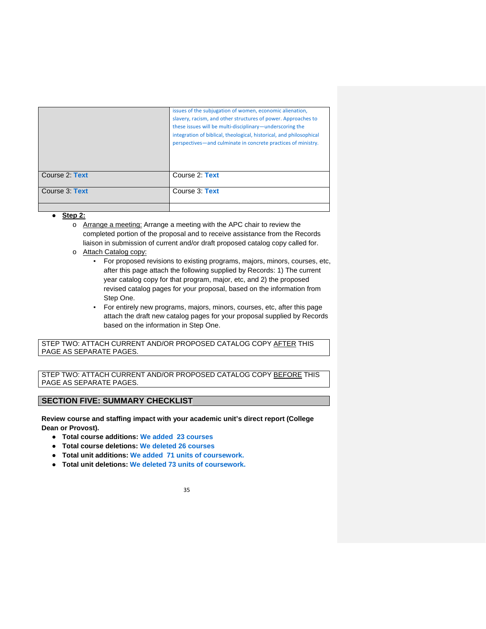|                | issues of the subjugation of women, economic alienation,<br>slavery, racism, and other structures of power. Approaches to<br>these issues will be multi-disciplinary—underscoring the<br>integration of biblical, theological, historical, and philosophical<br>perspectives-and culminate in concrete practices of ministry. |
|----------------|-------------------------------------------------------------------------------------------------------------------------------------------------------------------------------------------------------------------------------------------------------------------------------------------------------------------------------|
| Course 2: Text | Course 2: Text                                                                                                                                                                                                                                                                                                                |
| Course 3: Text | Course 3: Text                                                                                                                                                                                                                                                                                                                |
|                |                                                                                                                                                                                                                                                                                                                               |

# ● **Step 2:**

- o Arrange a meeting: Arrange a meeting with the APC chair to review the completed portion of the proposal and to receive assistance from the Records liaison in submission of current and/or draft proposed catalog copy called for.
- o Attach Catalog copy:
	- For proposed revisions to existing programs, majors, minors, courses, etc, after this page attach the following supplied by Records: 1) The current year catalog copy for that program, major, etc, and 2) the proposed revised catalog pages for your proposal, based on the information from Step One.
	- For entirely new programs, majors, minors, courses, etc, after this page attach the draft new catalog pages for your proposal supplied by Records based on the information in Step One.

STEP TWO: ATTACH CURRENT AND/OR PROPOSED CATALOG COPY AFTER THIS PAGE AS SEPARATE PAGES.

STEP TWO: ATTACH CURRENT AND/OR PROPOSED CATALOG COPY BEFORE THIS PAGE AS SEPARATE PAGES.

## **SECTION FIVE: SUMMARY CHECKLIST**

**Review course and staffing impact with your academic unit's direct report (College Dean or Provost).**

- **Total course additions: We added 23 courses**
- **Total course deletions: We deleted 26 courses**
- **Total unit additions: We added 71 units of coursework.**
- **Total unit deletions: We deleted 73 units of coursework.**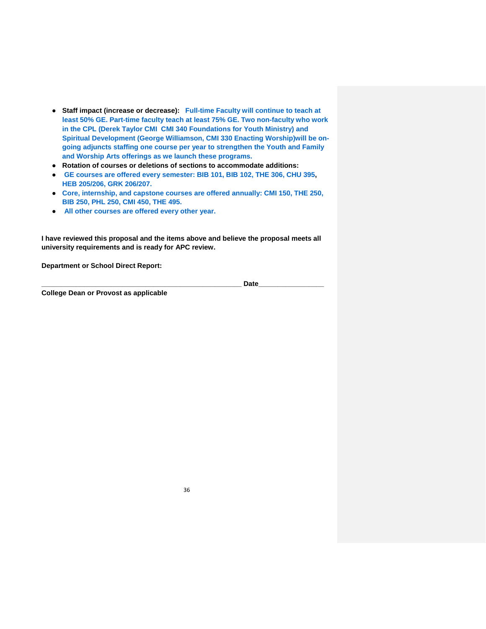- **Staff impact (increase or decrease): Full-time Faculty will continue to teach at least 50% GE. Part-time faculty teach at least 75% GE. Two non-faculty who work in the CPL (Derek Taylor CMI CMI 340 Foundations for Youth Ministry) and Spiritual Development (George Williamson, CMI 330 Enacting Worship)will be ongoing adjuncts staffing one course per year to strengthen the Youth and Family and Worship Arts offerings as we launch these programs.**
- **Rotation of courses or deletions of sections to accommodate additions:**
- **GE courses are offered every semester: BIB 101, BIB 102, THE 306, CHU 395, HEB 205/206, GRK 206/207.**
- **Core, internship, and capstone courses are offered annually: CMI 150, THE 250, BIB 250, PHL 250, CMI 450, THE 495.**
- **All other courses are offered every other year.**

**I have reviewed this proposal and the items above and believe the proposal meets all university requirements and is ready for APC review.**

**Department or School Direct Report:**

**\_\_\_\_\_\_\_\_\_\_\_\_\_\_\_\_\_\_\_\_\_\_\_\_\_\_\_\_\_\_\_\_\_\_\_\_\_\_\_\_\_\_\_\_\_\_\_\_\_\_\_\_ Date\_\_\_\_\_\_\_\_\_\_\_\_\_\_\_\_\_**

**College Dean or Provost as applicable**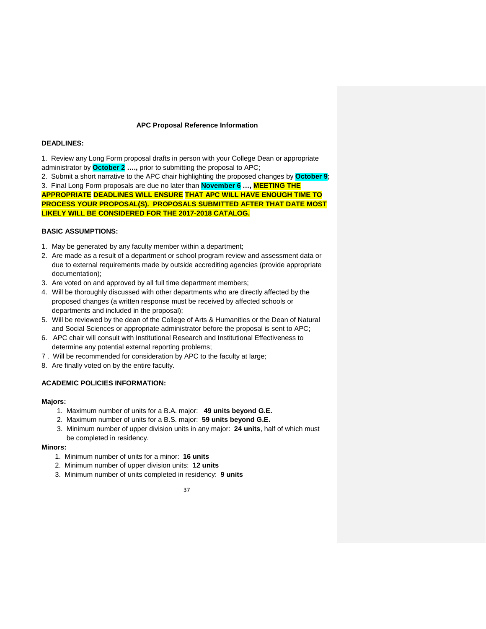### **APC Proposal Reference Information**

### **DEADLINES:**

1. Review any Long Form proposal drafts in person with your College Dean or appropriate administrator by **October 2 ….,** prior to submitting the proposal to APC;

2. Submit a short narrative to the APC chair highlighting the proposed changes by **October 9;**

3. Final Long Form proposals are due no later than **November 6 …, MEETING THE APPROPRIATE DEADLINES WILL ENSURE THAT APC WILL HAVE ENOUGH TIME TO PROCESS YOUR PROPOSAL(S). PROPOSALS SUBMITTED AFTER THAT DATE MOST LIKELY WILL BE CONSIDERED FOR THE 2017-2018 CATALOG.**

## **BASIC ASSUMPTIONS:**

- 1. May be generated by any faculty member within a department;
- 2. Are made as a result of a department or school program review and assessment data or due to external requirements made by outside accrediting agencies (provide appropriate documentation);
- 3. Are voted on and approved by all full time department members;
- 4. Will be thoroughly discussed with other departments who are directly affected by the proposed changes (a written response must be received by affected schools or departments and included in the proposal);
- 5. Will be reviewed by the dean of the College of Arts & Humanities or the Dean of Natural and Social Sciences or appropriate administrator before the proposal is sent to APC;
- 6. APC chair will consult with Institutional Research and Institutional Effectiveness to determine any potential external reporting problems;
- 7 . Will be recommended for consideration by APC to the faculty at large;
- 8. Are finally voted on by the entire faculty.

## **ACADEMIC POLICIES INFORMATION:**

### **Majors:**

- 1. Maximum number of units for a B.A. major: **49 units beyond G.E.**
- 2. Maximum number of units for a B.S. major: **59 units beyond G.E.**
- 3. Minimum number of upper division units in any major: **24 units**, half of which must be completed in residency.

### **Minors:**

- 1. Minimum number of units for a minor: **16 units**
- 2. Minimum number of upper division units: **12 units**
- 3. Minimum number of units completed in residency: **9 units**